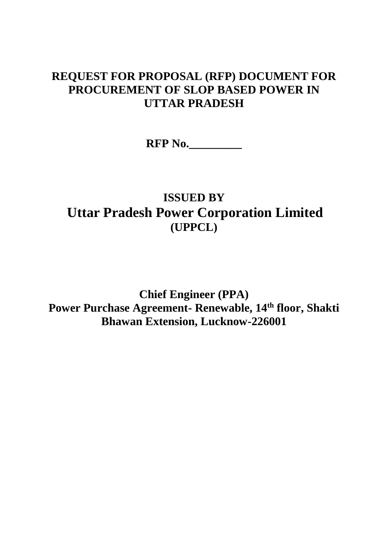# **REQUEST FOR PROPOSAL (RFP) DOCUMENT FOR PROCUREMENT OF SLOP BASED POWER IN UTTAR PRADESH**

**RFP No.\_\_\_\_\_\_\_\_\_**

# **ISSUED BY Uttar Pradesh Power Corporation Limited (UPPCL)**

**Chief Engineer (PPA) Power Purchase Agreement- Renewable, 14th floor, Shakti Bhawan Extension, Lucknow-226001**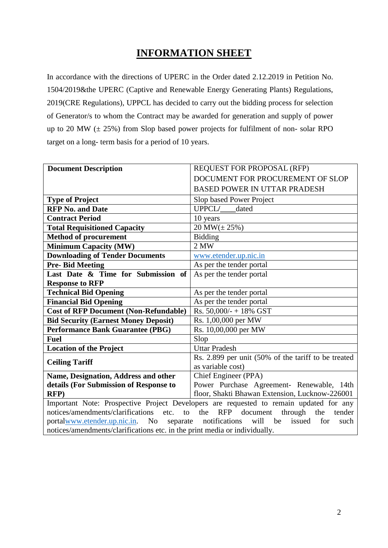# **INFORMATION SHEET**

In accordance with the directions of UPERC in the Order dated 2.12.2019 in Petition No. 1504/2019&the UPERC (Captive and Renewable Energy Generating Plants) Regulations, 2019(CRE Regulations), UPPCL has decided to carry out the bidding process for selection of Generator/s to whom the Contract may be awarded for generation and supply of power up to 20 MW  $(\pm 25\%)$  from Slop based power projects for fulfilment of non-solar RPO target on a long- term basis for a period of 10 years.

| <b>Document Description</b>                                                | REQUEST FOR PROPOSAL (RFP)                                                             |  |  |  |  |  |  |  |  |
|----------------------------------------------------------------------------|----------------------------------------------------------------------------------------|--|--|--|--|--|--|--|--|
|                                                                            | DOCUMENT FOR PROCUREMENT OF SLOP                                                       |  |  |  |  |  |  |  |  |
|                                                                            | <b>BASED POWER IN UTTAR PRADESH</b>                                                    |  |  |  |  |  |  |  |  |
| <b>Type of Project</b>                                                     | Slop based Power Project                                                               |  |  |  |  |  |  |  |  |
| <b>RFP No. and Date</b>                                                    | <b>UPPCL/</b><br>dated                                                                 |  |  |  |  |  |  |  |  |
| <b>Contract Period</b>                                                     | 10 years                                                                               |  |  |  |  |  |  |  |  |
| <b>Total Requisitioned Capacity</b>                                        | $20 MW(\pm 25\%)$                                                                      |  |  |  |  |  |  |  |  |
| <b>Method of procurement</b>                                               | <b>Bidding</b>                                                                         |  |  |  |  |  |  |  |  |
| <b>Minimum Capacity (MW)</b>                                               | 2 MW                                                                                   |  |  |  |  |  |  |  |  |
| <b>Downloading of Tender Documents</b>                                     | www.etender.up.nic.in                                                                  |  |  |  |  |  |  |  |  |
| <b>Pre-Bid Meeting</b>                                                     | As per the tender portal                                                               |  |  |  |  |  |  |  |  |
| Last Date & Time for Submission of                                         | As per the tender portal                                                               |  |  |  |  |  |  |  |  |
| <b>Response to RFP</b>                                                     |                                                                                        |  |  |  |  |  |  |  |  |
| <b>Technical Bid Opening</b><br>As per the tender portal                   |                                                                                        |  |  |  |  |  |  |  |  |
| <b>Financial Bid Opening</b>                                               | As per the tender portal                                                               |  |  |  |  |  |  |  |  |
| <b>Cost of RFP Document (Non-Refundable)</b>                               | Rs. 50,000/- + 18% GST                                                                 |  |  |  |  |  |  |  |  |
| <b>Bid Security (Earnest Money Deposit)</b>                                | Rs. 1,00,000 per MW                                                                    |  |  |  |  |  |  |  |  |
| <b>Performance Bank Guarantee (PBG)</b>                                    | Rs. 10,00,000 per MW                                                                   |  |  |  |  |  |  |  |  |
| <b>Fuel</b>                                                                | Slop                                                                                   |  |  |  |  |  |  |  |  |
| <b>Location of the Project</b>                                             | <b>Uttar Pradesh</b>                                                                   |  |  |  |  |  |  |  |  |
| <b>Ceiling Tariff</b>                                                      | Rs. 2.899 per unit (50% of the tariff to be treated                                    |  |  |  |  |  |  |  |  |
|                                                                            | as variable cost)                                                                      |  |  |  |  |  |  |  |  |
| Name, Designation, Address and other                                       | Chief Engineer (PPA)                                                                   |  |  |  |  |  |  |  |  |
| details (For Submission of Response to                                     | Power Purchase Agreement- Renewable, 14th                                              |  |  |  |  |  |  |  |  |
| <b>RFP</b> )                                                               | floor, Shakti Bhawan Extension, Lucknow-226001                                         |  |  |  |  |  |  |  |  |
|                                                                            | Important Note: Prospective Project Developers are requested to remain updated for any |  |  |  |  |  |  |  |  |
| notices/amendments/clarifications<br>etc.<br>to                            | the<br><b>RFP</b><br>document<br>through<br>the<br>tender                              |  |  |  |  |  |  |  |  |
| portalwww.etender.up.nic.in. No separate                                   | notifications<br>will<br>be<br>issued<br>for<br>such                                   |  |  |  |  |  |  |  |  |
| notices/amendments/clarifications etc. in the print media or individually. |                                                                                        |  |  |  |  |  |  |  |  |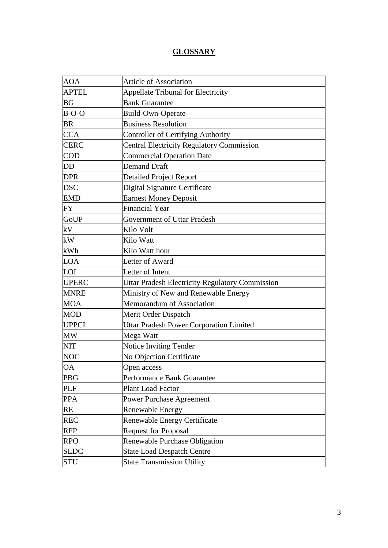## **GLOSSARY**

| <b>AOA</b>   | <b>Article of Association</b>                          |
|--------------|--------------------------------------------------------|
| <b>APTEL</b> | <b>Appellate Tribunal for Electricity</b>              |
| BG           | <b>Bank Guarantee</b>                                  |
| $B-O-O$      | Build-Own-Operate                                      |
| <b>BR</b>    | <b>Business Resolution</b>                             |
| <b>CCA</b>   | <b>Controller of Certifying Authority</b>              |
| <b>CERC</b>  | <b>Central Electricity Regulatory Commission</b>       |
| <b>COD</b>   | <b>Commercial Operation Date</b>                       |
| DD           | <b>Demand Draft</b>                                    |
| <b>DPR</b>   | <b>Detailed Project Report</b>                         |
| <b>DSC</b>   | Digital Signature Certificate                          |
| <b>EMD</b>   | <b>Earnest Money Deposit</b>                           |
| FY           | <b>Financial Year</b>                                  |
| GoUP         | Government of Uttar Pradesh                            |
| kV           | Kilo Volt                                              |
| kW           | Kilo Watt                                              |
| kWh          | Kilo Watt hour                                         |
| <b>LOA</b>   | Letter of Award                                        |
| LOI          | Letter of Intent                                       |
| <b>UPERC</b> | <b>Uttar Pradesh Electricity Regulatory Commission</b> |
| <b>MNRE</b>  | Ministry of New and Renewable Energy                   |
| <b>MOA</b>   | Memorandum of Association                              |
| <b>MOD</b>   | Merit Order Dispatch                                   |
| <b>UPPCL</b> | <b>Uttar Pradesh Power Corporation Limited</b>         |
| <b>MW</b>    | Mega Watt                                              |
| <b>NIT</b>   | Notice Inviting Tender                                 |
| <b>NOC</b>   | No Objection Certificate                               |
| OA           | Open access                                            |
| PBG          | Performance Bank Guarantee                             |
| PLF          | Plant Load Factor                                      |
| <b>PPA</b>   | Power Purchase Agreement                               |
| RE           | Renewable Energy                                       |
| <b>REC</b>   | Renewable Energy Certificate                           |
| <b>RFP</b>   | <b>Request for Proposal</b>                            |
| <b>RPO</b>   | Renewable Purchase Obligation                          |
| <b>SLDC</b>  | <b>State Load Despatch Centre</b>                      |
| <b>STU</b>   | <b>State Transmission Utility</b>                      |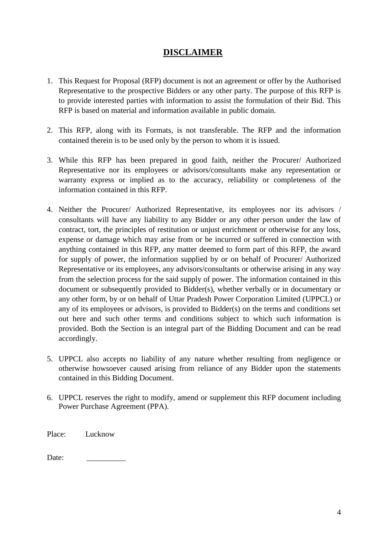## **DISCLAIMER**

- 1. This Request for Proposal (RFP) document is not an agreement or offer by the Authorised Representative to the prospective Bidders or any other party. The purpose of this RFP is to provide interested parties with information to assist the formulation of their Bid. This RFP is based on material and information available in public domain.
- 2. This RFP, along with its Formats, is not transferable. The RFP and the information contained therein is to be used only by the person to whom it is issued.
- 3. While this RFP has been prepared in good faith, neither the Procurer/ Authorized Representative nor its employees or advisors/consultants make any representation or warranty express or implied as to the accuracy, reliability or completeness of the information contained in this RFP.
- 4. Neither the Procurer/ Authorized Representative, its employees nor its advisors / consultants will have any liability to any Bidder or any other person under the law of contract, tort, the principles of restitution or unjust enrichment or otherwise for any loss, expense or damage which may arise from or be incurred or suffered in connection with anything contained in this RFP, any matter deemed to form part of this RFP, the award for supply of power, the information supplied by or on behalf of Procurer/ Authorized Representative or its employees, any advisors/consultants or otherwise arising in any way from the selection process for the said supply of power. The information contained in this document or subsequently provided to Bidder(s), whether verbally or in documentary or any other form, by or on behalf of Uttar Pradesh Power Corporation Limited (UPPCL) or any of its employees or advisors, is provided to Bidder(s) on the terms and conditions set out here and such other terms and conditions subject to which such information is provided. Both the Section is an integral part of the Bidding Document and can be read accordingly.
- 5. UPPCL also accepts no liability of any nature whether resulting from negligence or otherwise howsoever caused arising from reliance of any Bidder upon the statements contained in this Bidding Document.
- 6. UPPCL reserves the right to modify, amend or supplement this RFP document including Power Purchase Agreement (PPA).

Place: Lucknow

Date: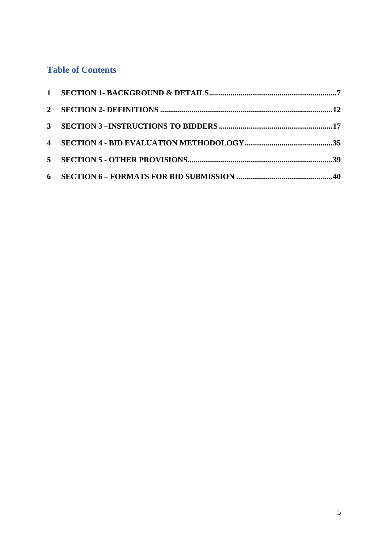## **Table of Contents**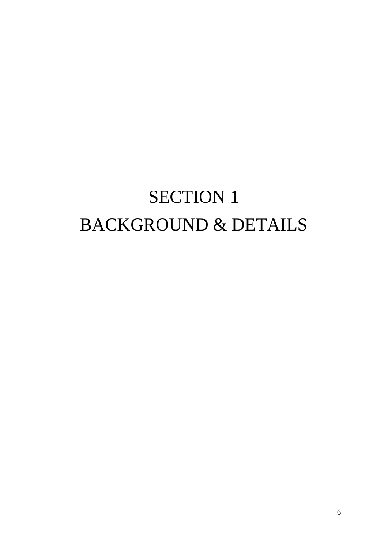# SECTION 1 BACKGROUND & DETAILS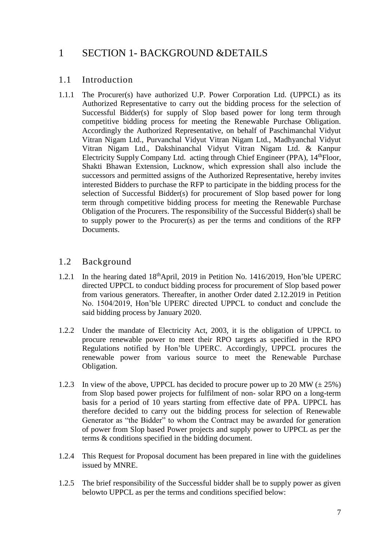## <span id="page-6-0"></span>1 SECTION 1- BACKGROUND &DETAILS

#### <span id="page-6-2"></span>1.1 Introduction

<span id="page-6-3"></span>1.1.1 The Procurer(s) have authorized U.P. Power Corporation Ltd. (UPPCL) as its Authorized Representative to carry out the bidding process for the selection of Successful Bidder(s) for supply of Slop based power for long term through competitive bidding process for meeting the Renewable Purchase Obligation. Accordingly the Authorized Representative, on behalf of Paschimanchal Vidyut Vitran Nigam Ltd., Purvanchal Vidyut Vitran Nigam Ltd., Madhyanchal Vidyut Vitran Nigam Ltd., Dakshinanchal Vidyut Vitran Nigam Ltd. & Kanpur Electricity Supply Company Ltd. acting through Chief Engineer (PPA),  $14^{\text{th}}$ Floor, Shakti Bhawan Extension, Lucknow, which expression shall also include the successors and permitted assigns of the Authorized Representative, hereby invites interested Bidders to purchase the RFP to participate in the bidding process for the selection of Successful Bidder(s) for procurement of Slop based power for long term through competitive bidding process for meeting the Renewable Purchase Obligation of the Procurers. The responsibility of the Successful Bidder(s) shall be to supply power to the Procurer(s) as per the terms and conditions of the RFP Documents.

#### 1.2 Background

- 1.2.1 In the hearing dated 18thApril, 2019 in Petition No. 1416/2019, Hon'ble UPERC directed UPPCL to conduct bidding process for procurement of Slop based power from various generators. Thereafter, in another Order dated 2.12.2019 in Petition No. 1504/2019, Hon'ble UPERC directed UPPCL to conduct and conclude the said bidding process by January 2020.
- 1.2.2 Under the mandate of Electricity Act, 2003, it is the obligation of UPPCL to procure renewable power to meet their RPO targets as specified in the RPO Regulations notified by Hon'ble UPERC. Accordingly, UPPCL procures the renewable power from various source to meet the Renewable Purchase Obligation.
- 1.2.3 In view of the above, UPPCL has decided to procure power up to 20 MW  $(\pm 25\%)$ from Slop based power projects for fulfilment of non- solar RPO on a long-term basis for a period of 10 years starting from effective date of PPA. UPPCL has therefore decided to carry out the bidding process for selection of Renewable Generator as "the Bidder" to whom the Contract may be awarded for generation of power from Slop based Power projects and supply power to UPPCL as per the terms & conditions specified in the bidding document.
- 1.2.4 This Request for Proposal document has been prepared in line with the guidelines issued by MNRE.
- <span id="page-6-1"></span>1.2.5 The brief responsibility of the Successful bidder shall be to supply power as given belowto UPPCL as per the terms and conditions specified below: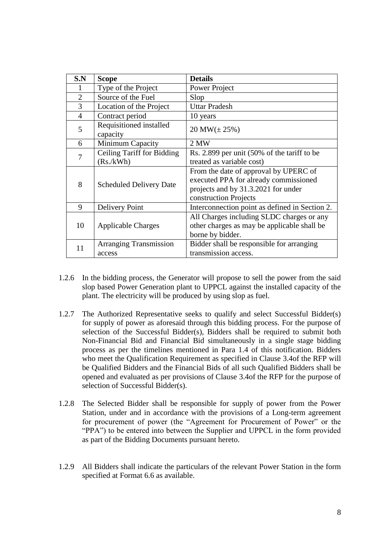| S.N            | <b>Scope</b>                            | <b>Details</b>                                                                                                                                 |  |  |  |  |  |  |
|----------------|-----------------------------------------|------------------------------------------------------------------------------------------------------------------------------------------------|--|--|--|--|--|--|
|                | Type of the Project                     | Power Project                                                                                                                                  |  |  |  |  |  |  |
| $\overline{2}$ | Source of the Fuel                      | Slop                                                                                                                                           |  |  |  |  |  |  |
| 3              | Location of the Project                 | <b>Uttar Pradesh</b>                                                                                                                           |  |  |  |  |  |  |
| $\overline{4}$ | Contract period                         | 10 years                                                                                                                                       |  |  |  |  |  |  |
| 5              | Requisitioned installed<br>capacity     | $20 \text{ MW}(\pm 25\%)$                                                                                                                      |  |  |  |  |  |  |
| 6              | Minimum Capacity                        | 2 MW                                                                                                                                           |  |  |  |  |  |  |
| 7              | Ceiling Tariff for Bidding              | Rs. 2.899 per unit (50% of the tariff to be                                                                                                    |  |  |  |  |  |  |
|                | (Rs./kWh)                               | treated as variable cost)                                                                                                                      |  |  |  |  |  |  |
| 8              | <b>Scheduled Delivery Date</b>          | From the date of approval by UPERC of<br>executed PPA for already commissioned<br>projects and by 31.3.2021 for under<br>construction Projects |  |  |  |  |  |  |
| 9              | Delivery Point                          | Interconnection point as defined in Section 2.                                                                                                 |  |  |  |  |  |  |
| 10             | <b>Applicable Charges</b>               | All Charges including SLDC charges or any<br>other charges as may be applicable shall be<br>borne by bidder.                                   |  |  |  |  |  |  |
| 11             | <b>Arranging Transmission</b><br>access | Bidder shall be responsible for arranging<br>transmission access.                                                                              |  |  |  |  |  |  |

- 1.2.6 In the bidding process, the Generator will propose to sell the power from the said slop based Power Generation plant to UPPCL against the installed capacity of the plant. The electricity will be produced by using slop as fuel.
- 1.2.7 The Authorized Representative seeks to qualify and select Successful Bidder(s) for supply of power as aforesaid through this bidding process. For the purpose of selection of the Successful Bidder(s), Bidders shall be required to submit both Non-Financial Bid and Financial Bid simultaneously in a single stage bidding process as per the timelines mentioned in Para 1.4 of this notification. Bidders who meet the Qualification Requirement as specified in Clause [3.4o](#page-17-0)f the RFP will be Qualified Bidders and the Financial Bids of all such Qualified Bidders shall be opened and evaluated as per provisions of Clause [3.4o](#page-17-0)f the RFP for the purpose of selection of Successful Bidder(s).
- 1.2.8 The Selected Bidder shall be responsible for supply of power from the Power Station, under and in accordance with the provisions of a Long-term agreement for procurement of power (the "Agreement for Procurement of Power" or the "PPA") to be entered into between the Supplier and UPPCL in the form provided as part of the Bidding Documents pursuant hereto.
- 1.2.9 All Bidders shall indicate the particulars of the relevant Power Station in the form specified at Format 6.6 as available.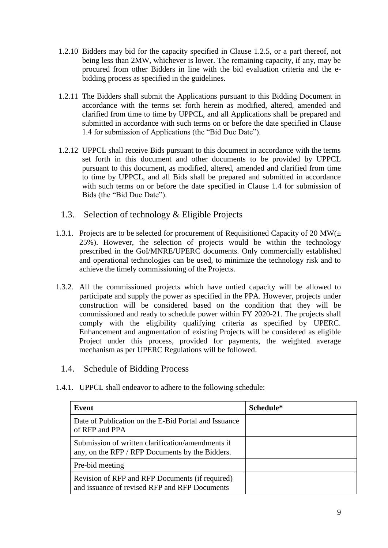- 1.2.10 Bidders may bid for the capacity specified in Clause [1.2.5,](#page-6-1) or a part thereof, not being less than 2MW, whichever is lower. The remaining capacity, if any, may be procured from other Bidders in line with the bid evaluation criteria and the ebidding process as specified in the guidelines.
- 1.2.11 The Bidders shall submit the Applications pursuant to this Bidding Document in accordance with the terms set forth herein as modified, altered, amended and clarified from time to time by UPPCL, and all Applications shall be prepared and submitted in accordance with such terms on or before the date specified in Clause 1.4 for submission of Applications (the "Bid Due Date").
- 1.2.12 UPPCL shall receive Bids pursuant to this document in accordance with the terms set forth in this document and other documents to be provided by UPPCL pursuant to this document, as modified, altered, amended and clarified from time to time by UPPCL, and all Bids shall be prepared and submitted in accordance with such terms on or before the date specified in Clause [1.4](#page-8-0) for submission of Bids (the "Bid Due Date").
- 1.3. Selection of technology & Eligible Projects
- <span id="page-8-1"></span>1.3.1. Projects are to be selected for procurement of Requisitioned Capacity of 20 MW( $\pm$ 25%). However, the selection of projects would be within the technology prescribed in the GoI/MNRE/UPERC documents. Only commercially established and operational technologies can be used, to minimize the technology risk and to achieve the timely commissioning of the Projects.
- 1.3.2. All the commissioned projects which have untied capacity will be allowed to participate and supply the power as specified in the PPA. However, projects under construction will be considered based on the condition that they will be commissioned and ready to schedule power within FY 2020-21. The projects shall comply with the eligibility qualifying criteria as specified by UPERC. Enhancement and augmentation of existing Projects will be considered as eligible Project under this process, provided for payments, the weighted average mechanism as per UPERC Regulations will be followed.
	- 1.4. Schedule of Bidding Process
- <span id="page-8-0"></span>1.4.1. UPPCL shall endeavor to adhere to the following schedule:

| Event                                                                                                | Schedule* |
|------------------------------------------------------------------------------------------------------|-----------|
| Date of Publication on the E-Bid Portal and Issuance<br>of RFP and PPA                               |           |
| Submission of written clarification/amendments if<br>any, on the RFP / RFP Documents by the Bidders. |           |
| Pre-bid meeting                                                                                      |           |
| Revision of RFP and RFP Documents (if required)<br>and issuance of revised RFP and RFP Documents     |           |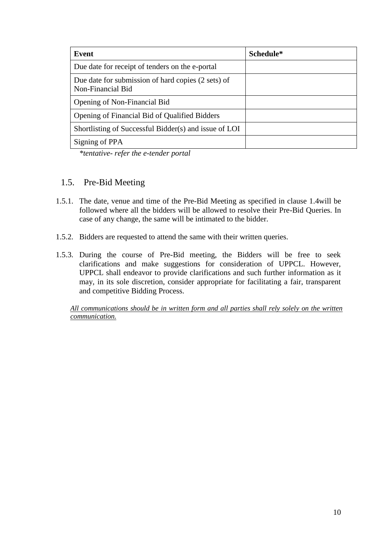| Event                                                                   | Schedule* |
|-------------------------------------------------------------------------|-----------|
| Due date for receipt of tenders on the e-portal                         |           |
| Due date for submission of hard copies (2 sets) of<br>Non-Financial Bid |           |
| Opening of Non-Financial Bid                                            |           |
| Opening of Financial Bid of Qualified Bidders                           |           |
| Shortlisting of Successful Bidder(s) and issue of LOI                   |           |
| Signing of PPA                                                          |           |

*\*tentative- refer the e-tender portal*

#### 1.5. Pre-Bid Meeting

- 1.5.1. The date, venue and time of the Pre-Bid Meeting as specified in clause [1.4w](#page-8-0)ill be followed where all the bidders will be allowed to resolve their Pre-Bid Queries. In case of any change, the same will be intimated to the bidder.
- 1.5.2. Bidders are requested to attend the same with their written queries.
- 1.5.3. During the course of Pre-Bid meeting, the Bidders will be free to seek clarifications and make suggestions for consideration of UPPCL. However, UPPCL shall endeavor to provide clarifications and such further information as it may, in its sole discretion, consider appropriate for facilitating a fair, transparent and competitive Bidding Process.

*All communications should be in written form and all parties shall rely solely on the written communication.*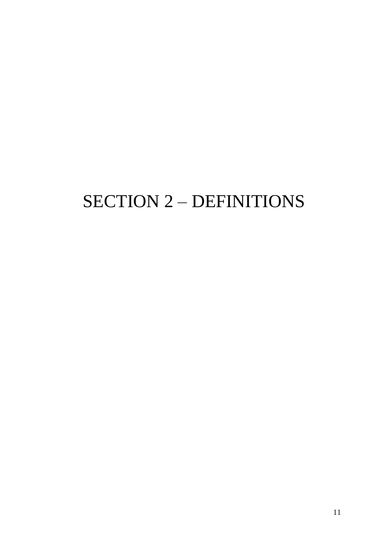# SECTION 2 – DEFINITIONS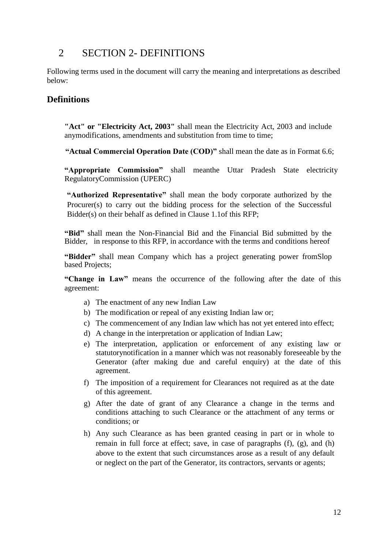## <span id="page-11-0"></span>2 SECTION 2- DEFINITIONS

Following terms used in the document will carry the meaning and interpretations as described below:

### **Definitions**

**"Act" or "Electricity Act, 2003"** shall mean the Electricity Act, 2003 and include anymodifications, amendments and substitution from time to time;

**"Actual Commercial Operation Date (COD)"** shall mean the date as in Format 6.6;

**"Appropriate Commission"** shall meanthe Uttar Pradesh State electricity RegulatoryCommission (UPERC)

**"Authorized Representative"** shall mean the body corporate authorized by the Procurer(s) to carry out the bidding process for the selection of the Successful Bidder(s) on their behalf as defined in Clause [1.1o](#page-6-2)f this RFP;

**"Bid"** shall mean the Non-Financial Bid and the Financial Bid submitted by the Bidder, in response to this RFP, in accordance with the terms and conditions hereof

**"Bidder"** shall mean Company which has a project generating power fromSlop based Projects;

**"Change in Law"** means the occurrence of the following after the date of this agreement:

- a) The enactment of any new Indian Law
- b) The modification or repeal of any existing Indian law or;
- c) The commencement of any Indian law which has not yet entered into effect;
- d) A change in the interpretation or application of Indian Law;
- e) The interpretation, application or enforcement of any existing law or statutorynotification in a manner which was not reasonably foreseeable by the Generator (after making due and careful enquiry) at the date of this agreement.
- f) The imposition of a requirement for Clearances not required as at the date of this agreement.
- g) After the date of grant of any Clearance a change in the terms and conditions attaching to such Clearance or the attachment of any terms or conditions; or
- h) Any such Clearance as has been granted ceasing in part or in whole to remain in full force at effect; save, in case of paragraphs (f), (g), and (h) above to the extent that such circumstances arose as a result of any default or neglect on the part of the Generator, its contractors, servants or agents;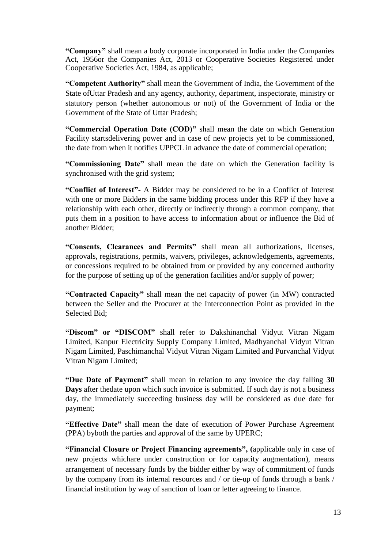**"Company"** shall mean a body corporate incorporated in India under the Companies Act, 1956or the Companies Act, 2013 or Cooperative Societies Registered under Cooperative Societies Act, 1984, as applicable;

**"Competent Authority"** shall mean the Government of India, the Government of the State ofUttar Pradesh and any agency, authority, department, inspectorate, ministry or statutory person (whether autonomous or not) of the Government of India or the Government of the State of Uttar Pradesh;

**"Commercial Operation Date (COD)"** shall mean the date on which Generation Facility startsdelivering power and in case of new projects yet to be commissioned, the date from when it notifies UPPCL in advance the date of commercial operation;

**"Commissioning Date"** shall mean the date on which the Generation facility is synchronised with the grid system;

**"Conflict of Interest"-** A Bidder may be considered to be in a Conflict of Interest with one or more Bidders in the same bidding process under this RFP if they have a relationship with each other, directly or indirectly through a common company, that puts them in a position to have access to information about or influence the Bid of another Bidder;

**"Consents, Clearances and Permits"** shall mean all authorizations, licenses, approvals, registrations, permits, waivers, privileges, acknowledgements, agreements, or concessions required to be obtained from or provided by any concerned authority for the purpose of setting up of the generation facilities and/or supply of power;

**"Contracted Capacity"** shall mean the net capacity of power (in MW) contracted between the Seller and the Procurer at the Interconnection Point as provided in the Selected Bid;

"Discom" or "DISCOM" shall refer to Dakshinanchal Vidyut Vitran Nigam Limited, Kanpur Electricity Supply Company Limited, Madhyanchal Vidyut Vitran Nigam Limited, Paschimanchal Vidyut Vitran Nigam Limited and Purvanchal Vidyut Vitran Nigam Limited;

**"Due Date of Payment"** shall mean in relation to any invoice the day falling **30 Days** after thedate upon which such invoice is submitted. If such day is not a business day, the immediately succeeding business day will be considered as due date for payment;

**"Effective Date"** shall mean the date of execution of Power Purchase Agreement (PPA) byboth the parties and approval of the same by UPERC;

**"Financial Closure or Project Financing agreements", (**applicable only in case of new projects whichare under construction or for capacity augmentation), means arrangement of necessary funds by the bidder either by way of commitment of funds by the company from its internal resources and / or tie-up of funds through a bank / financial institution by way of sanction of loan or letter agreeing to finance.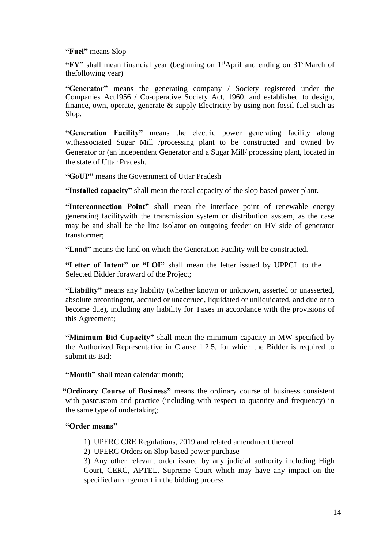#### **"Fuel"** means Slop

**"FY"** shall mean financial year (beginning on 1<sup>st</sup>April and ending on 31<sup>st</sup>March of thefollowing year)

**"Generator"** means the generating company / Society registered under the Companies Act1956 / Co-operative Society Act, 1960, and established to design, finance, own, operate, generate & supply Electricity by using non fossil fuel such as Slop.

**"Generation Facility"** means the electric power generating facility along withassociated Sugar Mill /processing plant to be constructed and owned by Generator or (an independent Generator and a Sugar Mill/ processing plant, located in the state of Uttar Pradesh.

**"GoUP"** means the Government of Uttar Pradesh

**"Installed capacity"** shall mean the total capacity of the slop based power plant.

**"Interconnection Point"** shall mean the interface point of renewable energy generating facilitywith the transmission system or distribution system, as the case may be and shall be the line isolator on outgoing feeder on HV side of generator transformer;

**"Land"** means the land on which the Generation Facility will be constructed.

**"Letter of Intent" or "LOI"** shall mean the letter issued by UPPCL to the Selected Bidder foraward of the Project;

**"Liability"** means any liability (whether known or unknown, asserted or unasserted, absolute orcontingent, accrued or unaccrued, liquidated or unliquidated, and due or to become due), including any liability for Taxes in accordance with the provisions of this Agreement;

**"Minimum Bid Capacity"** shall mean the minimum capacity in MW specified by the Authorized Representative in Clause [1.2.5,](#page-6-1) for which the Bidder is required to submit its Bid;

**"Month"** shall mean calendar month;

**"Ordinary Course of Business"** means the ordinary course of business consistent with pastcustom and practice (including with respect to quantity and frequency) in the same type of undertaking;

#### **"Order means"**

- 1) UPERC CRE Regulations, 2019 and related amendment thereof
- 2) UPERC Orders on Slop based power purchase

3) Any other relevant order issued by any judicial authority including High Court, CERC, APTEL, Supreme Court which may have any impact on the specified arrangement in the bidding process.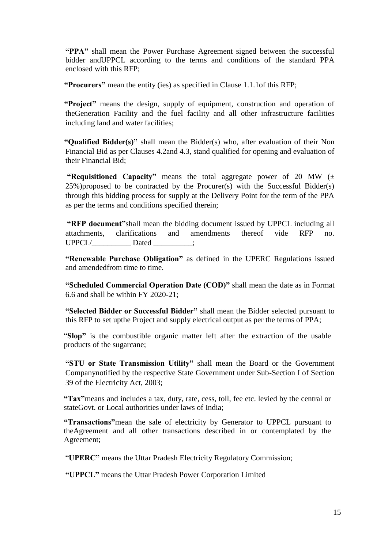**"PPA"** shall mean the Power Purchase Agreement signed between the successful bidder andUPPCL according to the terms and conditions of the standard PPA enclosed with this RFP;

**"Procurers"** mean the entity (ies) as specified in Clause [1.1.1o](#page-6-3)f this RFP;

**"Project"** means the design, supply of equipment, construction and operation of theGeneration Facility and the fuel facility and all other infrastructure facilities including land and water facilities;

**"Qualified Bidder(s)"** shall mean the Bidder(s) who, after evaluation of their Non Financial Bid as per Clauses [4.2a](#page-34-1)nd [4.3,](#page-34-2) stand qualified for opening and evaluation of their Financial Bid;

**"Requisitioned Capacity"** means the total aggregate power of 20 MW (± 25%)proposed to be contracted by the Procurer(s) with the Successful Bidder(s) through this bidding process for supply at the Delivery Point for the term of the PPA as per the terms and conditions specified therein;

**"RFP document"**shall mean the bidding document issued by UPPCL including all attachments, clarifications and amendments thereof vide RFP no.  $UPPCL/$   $2.2$  Dated  $2.3$ 

**"Renewable Purchase Obligation"** as defined in the UPERC Regulations issued and amendedfrom time to time.

**"Scheduled Commercial Operation Date (COD)"** shall mean the date as in Format 6.6 and shall be within FY 2020-21;

**"Selected Bidder or Successful Bidder"** shall mean the Bidder selected pursuant to this RFP to set upthe Project and supply electrical output as per the terms of PPA;

"**Slop"** is the combustible organic matter left after the extraction of the usable products of the sugarcane;

**"STU or State Transmission Utility"** shall mean the Board or the Government Companynotified by the respective State Government under Sub-Section I of Section 39 of the Electricity Act, 2003;

**"Tax"**means and includes a tax, duty, rate, cess, toll, fee etc. levied by the central or stateGovt. or Local authorities under laws of India;

**"Transactions"**mean the sale of electricity by Generator to UPPCL pursuant to theAgreement and all other transactions described in or contemplated by the Agreement;

"**UPERC"** means the Uttar Pradesh Electricity Regulatory Commission;

**"UPPCL"** means the Uttar Pradesh Power Corporation Limited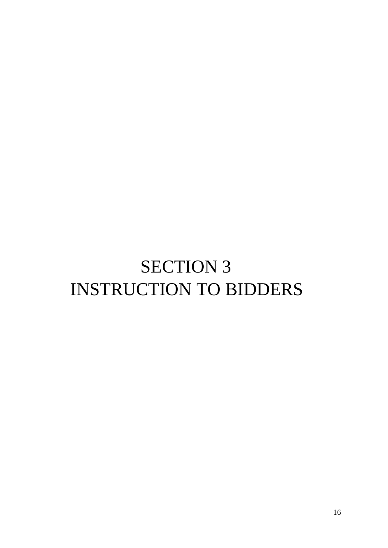# SECTION 3 INSTRUCTION TO BIDDERS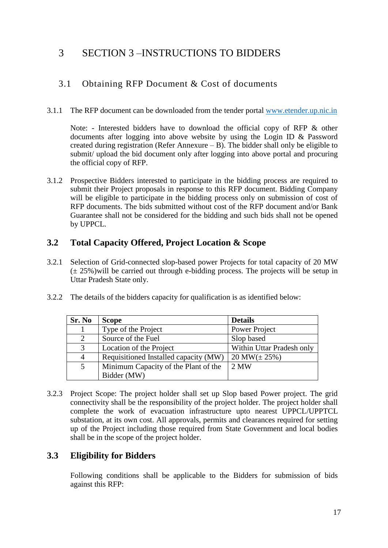# <span id="page-16-0"></span>3 SECTION 3 –INSTRUCTIONS TO BIDDERS

## 3.1 Obtaining RFP Document & Cost of documents

3.1.1 The RFP document can be downloaded from the tender portal [www.etender.up.nic.in](http://www.etender.up.nic.in/)

Note: - Interested bidders have to download the official copy of RFP & other documents after logging into above website by using the Login ID & Password created during registration (Refer Annexure – B). The bidder shall only be eligible to submit/ upload the bid document only after logging into above portal and procuring the official copy of RFP.

3.1.2 Prospective Bidders interested to participate in the bidding process are required to submit their Project proposals in response to this RFP document. Bidding Company will be eligible to participate in the bidding process only on submission of cost of RFP documents. The bids submitted without cost of the RFP document and/or Bank Guarantee shall not be considered for the bidding and such bids shall not be opened by UPPCL.

## **3.2 Total Capacity Offered, Project Location & Scope**

- 3.2.1 Selection of Grid-connected slop-based power Projects for total capacity of 20 MW  $(\pm 25\%)$  will be carried out through e-bidding process. The projects will be setup in Uttar Pradesh State only.
- 3.2.2 The details of the bidders capacity for qualification is as identified below:

| Sr. No         | <b>Scope</b>                          | <b>Details</b>            |
|----------------|---------------------------------------|---------------------------|
|                | Type of the Project                   | Power Project             |
| 2              | Source of the Fuel                    | Slop based                |
| 3              | Location of the Project               | Within Uttar Pradesh only |
| $\overline{4}$ | Requisitioned Installed capacity (MW) | $20 \text{ MW}(\pm 25\%)$ |
| 5              | Minimum Capacity of the Plant of the  | 2 MW                      |
|                | Bidder (MW)                           |                           |

3.2.3 Project Scope: The project holder shall set up Slop based Power project. The grid connectivity shall be the responsibility of the project holder. The project holder shall complete the work of evacuation infrastructure upto nearest UPPCL/UPPTCL substation, at its own cost. All approvals, permits and clearances required for setting up of the Project including those required from State Government and local bodies shall be in the scope of the project holder.

## **3.3 Eligibility for Bidders**

Following conditions shall be applicable to the Bidders for submission of bids against this RFP: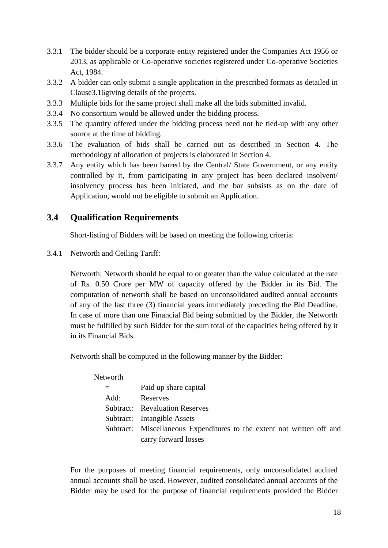- 3.3.1 The bidder should be a corporate entity registered under the Companies Act 1956 or 2013, as applicable or Co-operative societies registered under Co-operative Societies Act, 1984.
- 3.3.2 A bidder can only submit a single application in the prescribed formats as detailed in Claus[e3.16g](#page-24-0)iving details of the projects.
- 3.3.3 Multiple bids for the same project shall make all the bids submitted invalid.
- 3.3.4 No consortium would be allowed under the bidding process.
- 3.3.5 The quantity offered under the bidding process need not be tied-up with any other source at the time of bidding.
- 3.3.6 The evaluation of bids shall be carried out as described in [Section 4.](#page-34-0) The methodology of allocation of projects is elaborated in [Section 4.](#page-34-0)
- 3.3.7 Any entity which has been barred by the Central/ State Government, or any entity controlled by it, from participating in any project has been declared insolvent/ insolvency process has been initiated, and the bar subsists as on the date of Application, would not be eligible to submit an Application.

#### <span id="page-17-0"></span>**3.4 Qualification Requirements**

Short-listing of Bidders will be based on meeting the following criteria:

<span id="page-17-1"></span>3.4.1 Networth and Ceiling Tariff:

Networth: Networth should be equal to or greater than the value calculated at the rate of Rs. 0.50 Crore per MW of capacity offered by the Bidder in its Bid. The computation of networth shall be based on unconsolidated audited annual accounts of any of the last three (3) financial years immediately preceding the Bid Deadline. In case of more than one Financial Bid being submitted by the Bidder, the Networth must be fulfilled by such Bidder for the sum total of the capacities being offered by it in its Financial Bids.

Networth shall be computed in the following manner by the Bidder:

| Networth |                                                                        |
|----------|------------------------------------------------------------------------|
|          | Paid up share capital                                                  |
| Add:     | Reserves                                                               |
|          | <b>Subtract:</b> Revaluation Reserves                                  |
|          | Subtract: Intangible Assets                                            |
|          | Subtract: Miscellaneous Expenditures to the extent not written off and |
|          | carry forward losses                                                   |

For the purposes of meeting financial requirements, only unconsolidated audited annual accounts shall be used. However, audited consolidated annual accounts of the Bidder may be used for the purpose of financial requirements provided the Bidder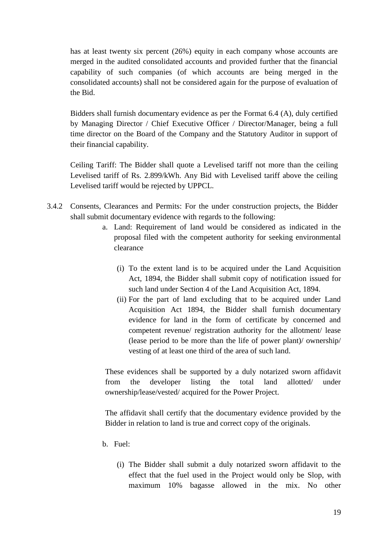has at least twenty six percent (26%) equity in each company whose accounts are merged in the audited consolidated accounts and provided further that the financial capability of such companies (of which accounts are being merged in the consolidated accounts) shall not be considered again for the purpose of evaluation of the Bid.

Bidders shall furnish documentary evidence as per the Format 6.4 (A), duly certified by Managing Director / Chief Executive Officer / Director/Manager, being a full time director on the Board of the Company and the Statutory Auditor in support of their financial capability.

Ceiling Tariff: The Bidder shall quote a Levelised tariff not more than the ceiling Levelised tariff of Rs. 2.899/kWh. Any Bid with Levelised tariff above the ceiling Levelised tariff would be rejected by UPPCL.

- <span id="page-18-0"></span>3.4.2 Consents, Clearances and Permits: For the under construction projects, the Bidder shall submit documentary evidence with regards to the following:
	- a. Land: Requirement of land would be considered as indicated in the proposal filed with the competent authority for seeking environmental clearance
		- (i) To the extent land is to be acquired under the Land Acquisition Act, 1894, the Bidder shall submit copy of notification issued for such land under Section 4 of the Land Acquisition Act, 1894.
		- (ii) For the part of land excluding that to be acquired under Land Acquisition Act 1894, the Bidder shall furnish documentary evidence for land in the form of certificate by concerned and competent revenue/ registration authority for the allotment/ lease (lease period to be more than the life of power plant)/ ownership/ vesting of at least one third of the area of such land.

These evidences shall be supported by a duly notarized sworn affidavit from the developer listing the total land allotted/ under ownership/lease/vested/ acquired for the Power Project.

The affidavit shall certify that the documentary evidence provided by the Bidder in relation to land is true and correct copy of the originals.

- b. Fuel:
	- (i) The Bidder shall submit a duly notarized sworn affidavit to the effect that the fuel used in the Project would only be Slop, with maximum 10% bagasse allowed in the mix. No other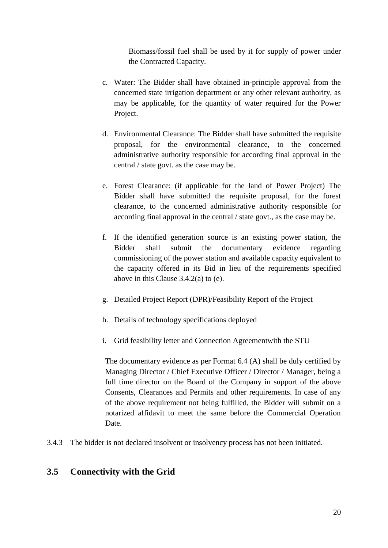Biomass/fossil fuel shall be used by it for supply of power under the Contracted Capacity.

- c. Water: The Bidder shall have obtained in-principle approval from the concerned state irrigation department or any other relevant authority, as may be applicable, for the quantity of water required for the Power Project.
- d. Environmental Clearance: The Bidder shall have submitted the requisite proposal, for the environmental clearance, to the concerned administrative authority responsible for according final approval in the central / state govt. as the case may be.
- e. Forest Clearance: (if applicable for the land of Power Project) The Bidder shall have submitted the requisite proposal, for the forest clearance, to the concerned administrative authority responsible for according final approval in the central / state govt., as the case may be.
- f. If the identified generation source is an existing power station, the Bidder shall submit the documentary evidence regarding commissioning of the power station and available capacity equivalent to the capacity offered in its Bid in lieu of the requirements specified above in this Clause [3.4.2\(](#page-18-0)a) to (e).
- g. Detailed Project Report (DPR)/Feasibility Report of the Project
- h. Details of technology specifications deployed
- i. Grid feasibility letter and Connection Agreementwith the STU

The documentary evidence as per Format 6.4 (A) shall be duly certified by Managing Director / Chief Executive Officer / Director / Manager, being a full time director on the Board of the Company in support of the above Consents, Clearances and Permits and other requirements. In case of any of the above requirement not being fulfilled, the Bidder will submit on a notarized affidavit to meet the same before the Commercial Operation Date.

3.4.3 The bidder is not declared insolvent or insolvency process has not been initiated.

## **3.5 Connectivity with the Grid**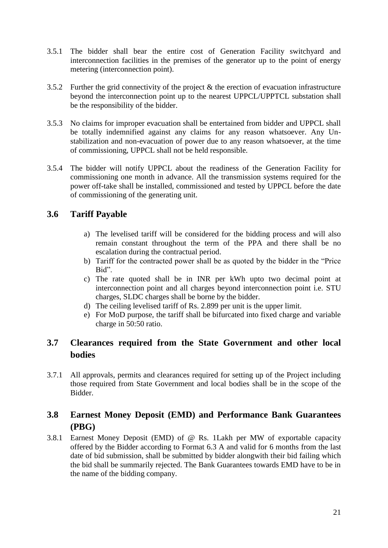- 3.5.1 The bidder shall bear the entire cost of Generation Facility switchyard and interconnection facilities in the premises of the generator up to the point of energy metering (interconnection point).
- 3.5.2 Further the grid connectivity of the project & the erection of evacuation infrastructure beyond the interconnection point up to the nearest UPPCL/UPPTCL substation shall be the responsibility of the bidder.
- 3.5.3 No claims for improper evacuation shall be entertained from bidder and UPPCL shall be totally indemnified against any claims for any reason whatsoever. Any Unstabilization and non-evacuation of power due to any reason whatsoever, at the time of commissioning, UPPCL shall not be held responsible.
- 3.5.4 The bidder will notify UPPCL about the readiness of the Generation Facility for commissioning one month in advance. All the transmission systems required for the power off-take shall be installed, commissioned and tested by UPPCL before the date of commissioning of the generating unit.

## **3.6 Tariff Payable**

- a) The levelised tariff will be considered for the bidding process and will also remain constant throughout the term of the PPA and there shall be no escalation during the contractual period.
- b) Tariff for the contracted power shall be as quoted by the bidder in the "Price Bid".
- c) The rate quoted shall be in INR per kWh upto two decimal point at interconnection point and all charges beyond interconnection point i.e. STU charges, SLDC charges shall be borne by the bidder.
- d) The ceiling levelised tariff of Rs. 2.899 per unit is the upper limit.
- e) For MoD purpose, the tariff shall be bifurcated into fixed charge and variable charge in 50:50 ratio.

## **3.7 Clearances required from the State Government and other local bodies**

3.7.1 All approvals, permits and clearances required for setting up of the Project including those required from State Government and local bodies shall be in the scope of the Bidder.

## <span id="page-20-0"></span>**3.8 Earnest Money Deposit (EMD) and Performance Bank Guarantees (PBG)**

3.8.1 Earnest Money Deposit (EMD) of @ Rs. 1Lakh per MW of exportable capacity offered by the Bidder according to Format 6.3 A and valid for 6 months from the last date of bid submission, shall be submitted by bidder alongwith their bid failing which the bid shall be summarily rejected. The Bank Guarantees towards EMD have to be in the name of the bidding company.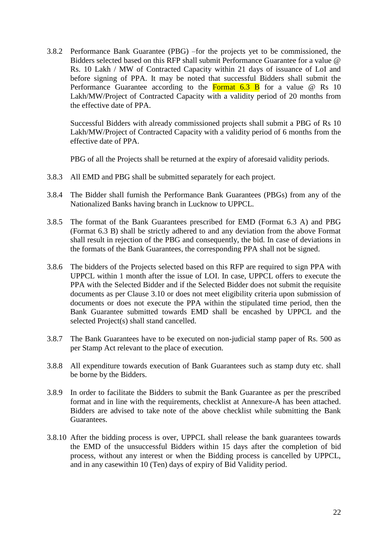<span id="page-21-0"></span>3.8.2 Performance Bank Guarantee (PBG) –for the projects yet to be commissioned, the Bidders selected based on this RFP shall submit Performance Guarantee for a value @ Rs. 10 Lakh / MW of Contracted Capacity within 21 days of issuance of LoI and before signing of PPA. It may be noted that successful Bidders shall submit the Performance Guarantee according to the **Format 6.3 B** for a value  $\omega$  Rs 10 Lakh/MW/Project of Contracted Capacity with a validity period of 20 months from the effective date of PPA.

Successful Bidders with already commissioned projects shall submit a PBG of Rs 10 Lakh/MW/Project of Contracted Capacity with a validity period of 6 months from the effective date of PPA.

PBG of all the Projects shall be returned at the expiry of aforesaid validity periods.

- 3.8.3 All EMD and PBG shall be submitted separately for each project.
- 3.8.4 The Bidder shall furnish the Performance Bank Guarantees (PBGs) from any of the Nationalized Banks having branch in Lucknow to UPPCL.
- 3.8.5 The format of the Bank Guarantees prescribed for EMD (Format 6.3 A) and PBG (Format 6.3 B) shall be strictly adhered to and any deviation from the above Format shall result in rejection of the PBG and consequently, the bid. In case of deviations in the formats of the Bank Guarantees, the corresponding PPA shall not be signed.
- 3.8.6 The bidders of the Projects selected based on this RFP are required to sign PPA with UPPCL within 1 month after the issue of LOI. In case, UPPCL offers to execute the PPA with the Selected Bidder and if the Selected Bidder does not submit the requisite documents as per Clause [3.10](#page-22-0) or does not meet eligibility criteria upon submission of documents or does not execute the PPA within the stipulated time period, then the Bank Guarantee submitted towards EMD shall be encashed by UPPCL and the selected Project(s) shall stand cancelled.
- 3.8.7 The Bank Guarantees have to be executed on non-judicial stamp paper of Rs. 500 as per Stamp Act relevant to the place of execution.
- 3.8.8 All expenditure towards execution of Bank Guarantees such as stamp duty etc. shall be borne by the Bidders.
- 3.8.9 In order to facilitate the Bidders to submit the Bank Guarantee as per the prescribed format and in line with the requirements, checklist at Annexure-A has been attached. Bidders are advised to take note of the above checklist while submitting the Bank Guarantees.
- 3.8.10 After the bidding process is over, UPPCL shall release the bank guarantees towards the EMD of the unsuccessful Bidders within 15 days after the completion of bid process, without any interest or when the Bidding process is cancelled by UPPCL, and in any casewithin 10 (Ten) days of expiry of Bid Validity period.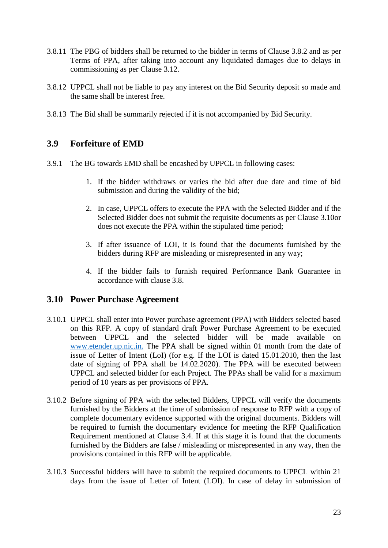- 3.8.11 The PBG of bidders shall be returned to the bidder in terms of Clause [3.8.2](#page-21-0) and as per Terms of PPA, after taking into account any liquidated damages due to delays in commissioning as per Clause [3.12.](#page-23-0)
- 3.8.12 UPPCL shall not be liable to pay any interest on the Bid Security deposit so made and the same shall be interest free.
- 3.8.13 The Bid shall be summarily rejected if it is not accompanied by Bid Security.

#### **3.9 Forfeiture of EMD**

- 3.9.1 The BG towards EMD shall be encashed by UPPCL in following cases:
	- 1. If the bidder withdraws or varies the bid after due date and time of bid submission and during the validity of the bid;
	- 2. In case, UPPCL offers to execute the PPA with the Selected Bidder and if the Selected Bidder does not submit the requisite documents as per Clause [3.10o](#page-22-0)r does not execute the PPA within the stipulated time period;
	- 3. If after issuance of LOI, it is found that the documents furnished by the bidders during RFP are misleading or misrepresented in any way;
	- 4. If the bidder fails to furnish required Performance Bank Guarantee in accordance with clause [3.8.](#page-20-0)

#### <span id="page-22-0"></span>**3.10 Power Purchase Agreement**

- 3.10.1 UPPCL shall enter into Power purchase agreement (PPA) with Bidders selected based on this RFP. A copy of standard draft Power Purchase Agreement to be executed between UPPCL and the selected bidder will be made available on [www.etender.up.nic.in.](http://www.etender.up.nic.in./) The PPA shall be signed within 01 month from the date of issue of Letter of Intent (LoI) (for e.g. If the LOI is dated 15.01.2010, then the last date of signing of PPA shall be 14.02.2020). The PPA will be executed between UPPCL and selected bidder for each Project. The PPAs shall be valid for a maximum period of 10 years as per provisions of PPA.
- 3.10.2 Before signing of PPA with the selected Bidders, UPPCL will verify the documents furnished by the Bidders at the time of submission of response to RFP with a copy of complete documentary evidence supported with the original documents. Bidders will be required to furnish the documentary evidence for meeting the RFP Qualification Requirement mentioned at Clause [3.4.](#page-17-0) If at this stage it is found that the documents furnished by the Bidders are false / misleading or misrepresented in any way, then the provisions contained in this RFP will be applicable.
- 3.10.3 Successful bidders will have to submit the required documents to UPPCL within 21 days from the issue of Letter of Intent (LOI). In case of delay in submission of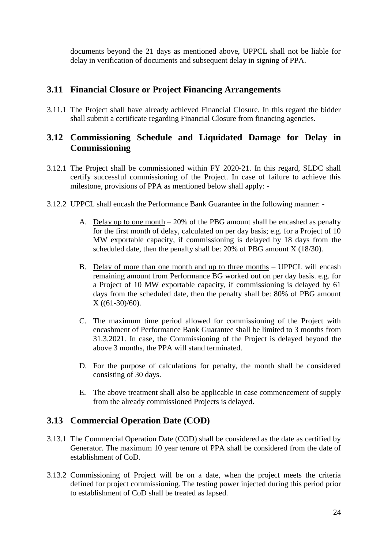documents beyond the 21 days as mentioned above, UPPCL shall not be liable for delay in verification of documents and subsequent delay in signing of PPA.

#### **3.11 Financial Closure or Project Financing Arrangements**

3.11.1 The Project shall have already achieved Financial Closure. In this regard the bidder shall submit a certificate regarding Financial Closure from financing agencies.

## <span id="page-23-0"></span>**3.12 Commissioning Schedule and Liquidated Damage for Delay in Commissioning**

- 3.12.1 The Project shall be commissioned within FY 2020-21. In this regard, SLDC shall certify successful commissioning of the Project. In case of failure to achieve this milestone, provisions of PPA as mentioned below shall apply: -
- 3.12.2 UPPCL shall encash the Performance Bank Guarantee in the following manner:
	- A. Delay up to one month 20% of the PBG amount shall be encashed as penalty for the first month of delay, calculated on per day basis; e.g. for a Project of 10 MW exportable capacity, if commissioning is delayed by 18 days from the scheduled date, then the penalty shall be: 20% of PBG amount X (18/30).
	- B. Delay of more than one month and up to three months UPPCL will encash remaining amount from Performance BG worked out on per day basis. e.g. for a Project of 10 MW exportable capacity, if commissioning is delayed by 61 days from the scheduled date, then the penalty shall be: 80% of PBG amount X ((61-30)/60).
	- C. The maximum time period allowed for commissioning of the Project with encashment of Performance Bank Guarantee shall be limited to 3 months from 31.3.2021. In case, the Commissioning of the Project is delayed beyond the above 3 months, the PPA will stand terminated.
	- D. For the purpose of calculations for penalty, the month shall be considered consisting of 30 days.
	- E. The above treatment shall also be applicable in case commencement of supply from the already commissioned Projects is delayed.

#### **3.13 Commercial Operation Date (COD)**

- 3.13.1 The Commercial Operation Date (COD) shall be considered as the date as certified by Generator. The maximum 10 year tenure of PPA shall be considered from the date of establishment of CoD.
- 3.13.2 Commissioning of Project will be on a date, when the project meets the criteria defined for project commissioning. The testing power injected during this period prior to establishment of CoD shall be treated as lapsed.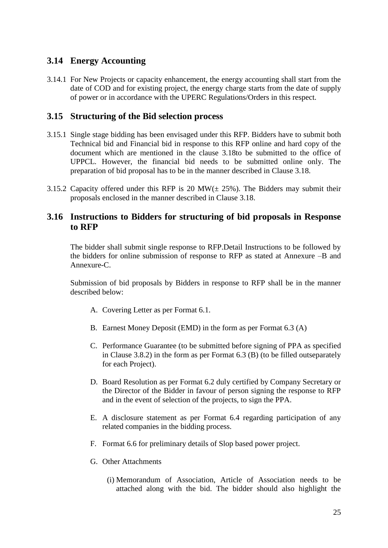## **3.14 Energy Accounting**

3.14.1 For New Projects or capacity enhancement, the energy accounting shall start from the date of COD and for existing project, the energy charge starts from the date of supply of power or in accordance with the UPERC Regulations/Orders in this respect.

#### **3.15 Structuring of the Bid selection process**

- 3.15.1 Single stage bidding has been envisaged under this RFP. Bidders have to submit both Technical bid and Financial bid in response to this RFP online and hard copy of the document which are mentioned in the clause [3.18t](#page-26-0)o be submitted to the office of UPPCL. However, the financial bid needs to be submitted online only. The preparation of bid proposal has to be in the manner described in Clause [3.18.](#page-26-0)
- 3.15.2 Capacity offered under this RFP is 20 MW( $\pm$  25%). The Bidders may submit their proposals enclosed in the manner described in Clause [3.18.](#page-26-0)

#### <span id="page-24-0"></span>**3.16 Instructions to Bidders for structuring of bid proposals in Response to RFP**

The bidder shall submit single response to RFP.Detail Instructions to be followed by the bidders for online submission of response to RFP as stated at Annexure –B and Annexure-C.

Submission of bid proposals by Bidders in response to RFP shall be in the manner described below:

- A. Covering Letter as per Format 6.1.
- B. Earnest Money Deposit (EMD) in the form as per Format 6.3 (A)
- C. Performance Guarantee (to be submitted before signing of PPA as specified in Clause [3.8.2\)](#page-21-0) in the form as per Format 6.3 (B) (to be filled outseparately for each Project).
- D. Board Resolution as per Format 6.2 duly certified by Company Secretary or the Director of the Bidder in favour of person signing the response to RFP and in the event of selection of the projects, to sign the PPA.
- E. A disclosure statement as per Format 6.4 regarding participation of any related companies in the bidding process.
- F. Format 6.6 for preliminary details of Slop based power project.
- G. Other Attachments
	- (i) Memorandum of Association, Article of Association needs to be attached along with the bid. The bidder should also highlight the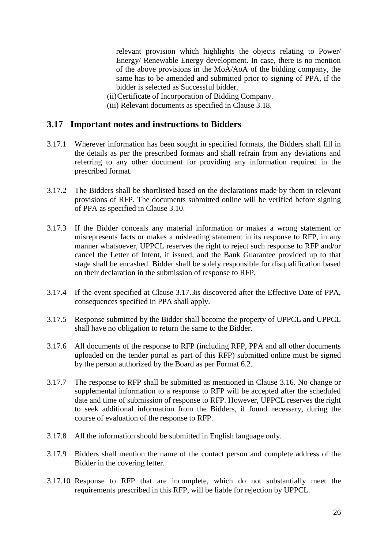relevant provision which highlights the objects relating to Power/ Energy/ Renewable Energy development. In case, there is no mention of the above provisions in the MoA/AoA of the bidding company, the same has to be amended and submitted prior to signing of PPA, if the bidder is selected as Successful bidder.

(ii)Certificate of Incorporation of Bidding Company.

(iii) Relevant documents as specified in Clause [3.18.](#page-26-0)

#### **3.17 Important notes and instructions to Bidders**

- 3.17.1 Wherever information has been sought in specified formats, the Bidders shall fill in the details as per the prescribed formats and shall refrain from any deviations and referring to any other document for providing any information required in the prescribed format.
- 3.17.2 The Bidders shall be shortlisted based on the declarations made by them in relevant provisions of RFP. The documents submitted online will be verified before signing of PPA as specified in Clause [3.10.](#page-22-0)
- <span id="page-25-0"></span>3.17.3 If the Bidder conceals any material information or makes a wrong statement or misrepresents facts or makes a misleading statement in its response to RFP, in any manner whatsoever, UPPCL reserves the right to reject such response to RFP and/or cancel the Letter of Intent, if issued, and the Bank Guarantee provided up to that stage shall be encashed. Bidder shall be solely responsible for disqualification based on their declaration in the submission of response to RFP.
- 3.17.4 If the event specified at Clause [3.17.3i](#page-25-0)s discovered after the Effective Date of PPA, consequences specified in PPA shall apply.
- 3.17.5 Response submitted by the Bidder shall become the property of UPPCL and UPPCL shall have no obligation to return the same to the Bidder.
- 3.17.6 All documents of the response to RFP (including RFP, PPA and all other documents uploaded on the tender portal as part of this RFP) submitted online must be signed by the person authorized by the Board as per Format 6.2.
- 3.17.7 The response to RFP shall be submitted as mentioned in Clause [3.16.](#page-24-0) No change or supplemental information to a response to RFP will be accepted after the scheduled date and time of submission of response to RFP. However, UPPCL reserves the right to seek additional information from the Bidders, if found necessary, during the course of evaluation of the response to RFP.
- 3.17.8 All the information should be submitted in English language only.
- 3.17.9 Bidders shall mention the name of the contact person and complete address of the Bidder in the covering letter.
- 3.17.10 Response to RFP that are incomplete, which do not substantially meet the requirements prescribed in this RFP, will be liable for rejection by UPPCL.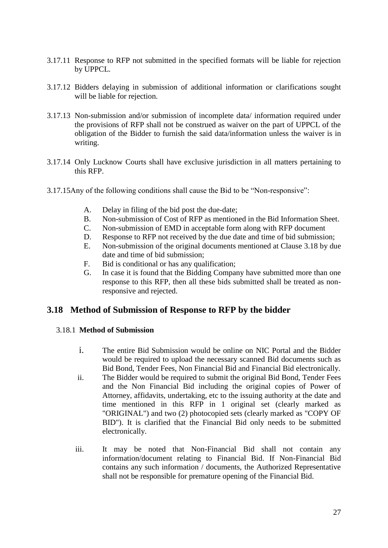- 3.17.11 Response to RFP not submitted in the specified formats will be liable for rejection by UPPCL.
- 3.17.12 Bidders delaying in submission of additional information or clarifications sought will be liable for rejection.
- 3.17.13 Non-submission and/or submission of incomplete data/ information required under the provisions of RFP shall not be construed as waiver on the part of UPPCL of the obligation of the Bidder to furnish the said data/information unless the waiver is in writing.
- 3.17.14 Only Lucknow Courts shall have exclusive jurisdiction in all matters pertaining to this RFP.
- 3.17.15Any of the following conditions shall cause the Bid to be "Non-responsive":
	- A. Delay in filing of the bid post the due-date;
	- B. Non-submission of Cost of RFP as mentioned in the Bid Information Sheet.
	- C. Non-submission of EMD in acceptable form along with RFP document
	- D. Response to RFP not received by the due date and time of bid submission;
	- E. Non-submission of the original documents mentioned at Clause [3.18](#page-26-0) by due date and time of bid submission;
	- F. Bid is conditional or has any qualification;
	- G. In case it is found that the Bidding Company have submitted more than one response to this RFP, then all these bids submitted shall be treated as nonresponsive and rejected.

## <span id="page-26-0"></span>**3.18 Method of Submission of Response to RFP by the bidder**

#### 3.18.1 **Method of Submission**

- i. The entire Bid Submission would be online on NIC Portal and the Bidder would be required to upload the necessary scanned Bid documents such as Bid Bond, Tender Fees, Non Financial Bid and Financial Bid electronically.
- ii. The Bidder would be required to submit the original Bid Bond, Tender Fees and the Non Financial Bid including the original copies of Power of Attorney, affidavits, undertaking, etc to the issuing authority at the date and time mentioned in this RFP in 1 original set (clearly marked as "ORIGINAL") and two (2) photocopied sets (clearly marked as "COPY OF BID"). It is clarified that the Financial Bid only needs to be submitted electronically.
- iii. It may be noted that Non-Financial Bid shall not contain any information/document relating to Financial Bid. If Non-Financial Bid contains any such information / documents, the Authorized Representative shall not be responsible for premature opening of the Financial Bid.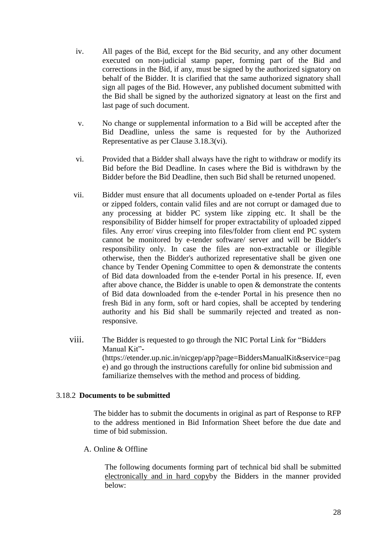- iv. All pages of the Bid, except for the Bid security, and any other document executed on non-judicial stamp paper, forming part of the Bid and corrections in the Bid, if any, must be signed by the authorized signatory on behalf of the Bidder. It is clarified that the same authorized signatory shall sign all pages of the Bid. However, any published document submitted with the Bid shall be signed by the authorized signatory at least on the first and last page of such document.
- v. No change or supplemental information to a Bid will be accepted after the Bid Deadline, unless the same is requested for by the Authorized Representative as per Clause [3.18.3\(](#page-29-0)vi).
- vi. Provided that a Bidder shall always have the right to withdraw or modify its Bid before the Bid Deadline. In cases where the Bid is withdrawn by the Bidder before the Bid Deadline, then such Bid shall be returned unopened.
- vii. Bidder must ensure that all documents uploaded on e-tender Portal as files or zipped folders, contain valid files and are not corrupt or damaged due to any processing at bidder PC system like zipping etc. It shall be the responsibility of Bidder himself for proper extractability of uploaded zipped files. Any error/ virus creeping into files/folder from client end PC system cannot be monitored by e-tender software/ server and will be Bidder's responsibility only. In case the files are non-extractable or illegible otherwise, then the Bidder's authorized representative shall be given one chance by Tender Opening Committee to open & demonstrate the contents of Bid data downloaded from the e-tender Portal in his presence. If, even after above chance, the Bidder is unable to open & demonstrate the contents of Bid data downloaded from the e-tender Portal in his presence then no fresh Bid in any form, soft or hard copies, shall be accepted by tendering authority and his Bid shall be summarily rejected and treated as nonresponsive.
- viii. The Bidder is requested to go through the NIC Portal Link for "Bidders Manual Kit"- (https://etender.up.nic.in/nicgep/app?page=BiddersManualKit&service=pag e) and go through the instructions carefully for online bid submission and familiarize themselves with the method and process of bidding.

#### <span id="page-27-0"></span>3.18.2 **Documents to be submitted**

The bidder has to submit the documents in original as part of Response to RFP to the address mentioned in Bid Information Sheet before the due date and time of bid submission.

A. Online & Offline

The following documents forming part of technical bid shall be submitted electronically and in hard copyby the Bidders in the manner provided below: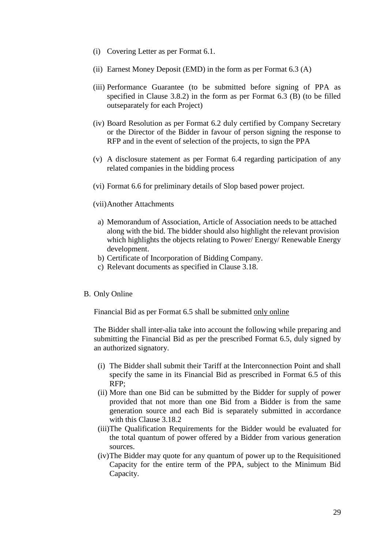- (i) Covering Letter as per Format 6.1.
- (ii) Earnest Money Deposit (EMD) in the form as per Format 6.3 (A)
- (iii) Performance Guarantee (to be submitted before signing of PPA as specified in Clause 3.8.2) in the form as per Format 6.3 (B) (to be filled outseparately for each Project)
- (iv) Board Resolution as per Format 6.2 duly certified by Company Secretary or the Director of the Bidder in favour of person signing the response to RFP and in the event of selection of the projects, to sign the PPA
- (v) A disclosure statement as per Format 6.4 regarding participation of any related companies in the bidding process
- (vi) Format 6.6 for preliminary details of Slop based power project.
- (vii)Another Attachments
	- a) Memorandum of Association, Article of Association needs to be attached along with the bid. The bidder should also highlight the relevant provision which highlights the objects relating to Power/ Energy/ Renewable Energy development.
	- b) Certificate of Incorporation of Bidding Company.
	- c) Relevant documents as specified in Clause [3.18.](#page-26-0)
- B. Only Online

Financial Bid as per Format 6.5 shall be submitted only online

The Bidder shall inter-alia take into account the following while preparing and submitting the Financial Bid as per the prescribed Format 6.5, duly signed by an authorized signatory.

- (i) The Bidder shall submit their Tariff at the Interconnection Point and shall specify the same in its Financial Bid as prescribed in Format 6.5 of this RFP;
- (ii) More than one Bid can be submitted by the Bidder for supply of power provided that not more than one Bid from a Bidder is from the same generation source and each Bid is separately submitted in accordance with this Clause [3.18.2](#page-27-0)
- (iii)The Qualification Requirements for the Bidder would be evaluated for the total quantum of power offered by a Bidder from various generation sources.
- (iv)The Bidder may quote for any quantum of power up to the Requisitioned Capacity for the entire term of the PPA, subject to the Minimum Bid Capacity.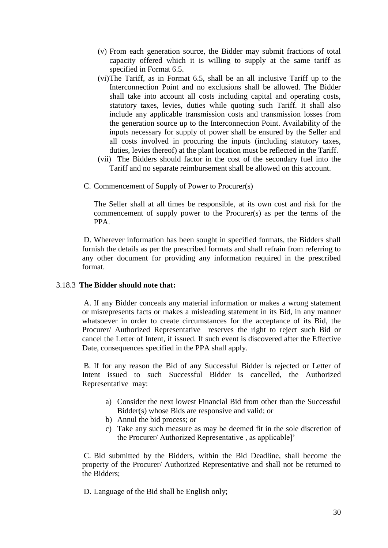- (v) From each generation source, the Bidder may submit fractions of total capacity offered which it is willing to supply at the same tariff as specified in Format 6.5.
- (vi)The Tariff, as in Format 6.5, shall be an all inclusive Tariff up to the Interconnection Point and no exclusions shall be allowed. The Bidder shall take into account all costs including capital and operating costs, statutory taxes, levies, duties while quoting such Tariff. It shall also include any applicable transmission costs and transmission losses from the generation source up to the Interconnection Point. Availability of the inputs necessary for supply of power shall be ensured by the Seller and all costs involved in procuring the inputs (including statutory taxes, duties, levies thereof) at the plant location must be reflected in the Tariff.
- (vii) The Bidders should factor in the cost of the secondary fuel into the Tariff and no separate reimbursement shall be allowed on this account.
- C. Commencement of Supply of Power to Procurer(s)

The Seller shall at all times be responsible, at its own cost and risk for the commencement of supply power to the Procurer(s) as per the terms of the PPA.

D. Wherever information has been sought in specified formats, the Bidders shall furnish the details as per the prescribed formats and shall refrain from referring to any other document for providing any information required in the prescribed format.

#### <span id="page-29-0"></span>3.18.3 **The Bidder should note that:**

A. If any Bidder conceals any material information or makes a wrong statement or misrepresents facts or makes a misleading statement in its Bid, in any manner whatsoever in order to create circumstances for the acceptance of its Bid, the Procurer/ Authorized Representative reserves the right to reject such Bid or cancel the Letter of Intent, if issued. If such event is discovered after the Effective Date, consequences specified in the PPA shall apply.

B. If for any reason the Bid of any Successful Bidder is rejected or Letter of Intent issued to such Successful Bidder is cancelled, the Authorized Representative may:

- a) Consider the next lowest Financial Bid from other than the Successful Bidder(s) whose Bids are responsive and valid; or
- b) Annul the bid process; or
- c) Take any such measure as may be deemed fit in the sole discretion of the Procurer/ Authorized Representative , as applicable]'

C. Bid submitted by the Bidders, within the Bid Deadline, shall become the property of the Procurer/ Authorized Representative and shall not be returned to the Bidders;

D. Language of the Bid shall be English only;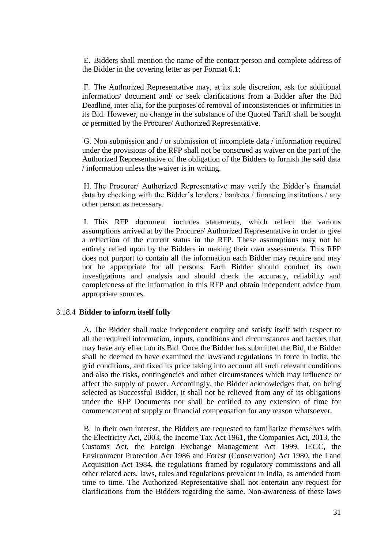E. Bidders shall mention the name of the contact person and complete address of the Bidder in the covering letter as per Format 6.1;

F. The Authorized Representative may, at its sole discretion, ask for additional information/ document and/ or seek clarifications from a Bidder after the Bid Deadline, inter alia, for the purposes of removal of inconsistencies or infirmities in its Bid. However, no change in the substance of the Quoted Tariff shall be sought or permitted by the Procurer/ Authorized Representative.

G. Non submission and / or submission of incomplete data / information required under the provisions of the RFP shall not be construed as waiver on the part of the Authorized Representative of the obligation of the Bidders to furnish the said data / information unless the waiver is in writing.

H. The Procurer/ Authorized Representative may verify the Bidder's financial data by checking with the Bidder's lenders / bankers / financing institutions / any other person as necessary.

I. This RFP document includes statements, which reflect the various assumptions arrived at by the Procurer/ Authorized Representative in order to give a reflection of the current status in the RFP. These assumptions may not be entirely relied upon by the Bidders in making their own assessments. This RFP does not purport to contain all the information each Bidder may require and may not be appropriate for all persons. Each Bidder should conduct its own investigations and analysis and should check the accuracy, reliability and completeness of the information in this RFP and obtain independent advice from appropriate sources.

#### 3.18.4 **Bidder to inform itself fully**

A. The Bidder shall make independent enquiry and satisfy itself with respect to all the required information, inputs, conditions and circumstances and factors that may have any effect on its Bid. Once the Bidder has submitted the Bid, the Bidder shall be deemed to have examined the laws and regulations in force in India, the grid conditions, and fixed its price taking into account all such relevant conditions and also the risks, contingencies and other circumstances which may influence or affect the supply of power. Accordingly, the Bidder acknowledges that, on being selected as Successful Bidder, it shall not be relieved from any of its obligations under the RFP Documents nor shall be entitled to any extension of time for commencement of supply or financial compensation for any reason whatsoever.

B. In their own interest, the Bidders are requested to familiarize themselves with the Electricity Act, 2003, the Income Tax Act 1961, the Companies Act, 2013, the Customs Act, the Foreign Exchange Management Act 1999, IEGC, the Environment Protection Act 1986 and Forest (Conservation) Act 1980, the Land Acquisition Act 1984, the regulations framed by regulatory commissions and all other related acts, laws, rules and regulations prevalent in India, as amended from time to time. The Authorized Representative shall not entertain any request for clarifications from the Bidders regarding the same. Non-awareness of these laws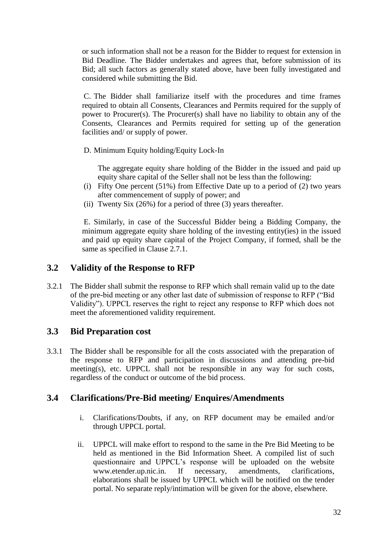or such information shall not be a reason for the Bidder to request for extension in Bid Deadline. The Bidder undertakes and agrees that, before submission of its Bid; all such factors as generally stated above, have been fully investigated and considered while submitting the Bid.

C. The Bidder shall familiarize itself with the procedures and time frames required to obtain all Consents, Clearances and Permits required for the supply of power to Procurer(s). The Procurer(s) shall have no liability to obtain any of the Consents, Clearances and Permits required for setting up of the generation facilities and/ or supply of power.

D. Minimum Equity holding/Equity Lock-In

The aggregate equity share holding of the Bidder in the issued and paid up equity share capital of the Seller shall not be less than the following:

- (i) Fifty One percent (51%) from Effective Date up to a period of (2) two years after commencement of supply of power; and
- (ii) Twenty Six (26%) for a period of three (3) years thereafter.

E. Similarly, in case of the Successful Bidder being a Bidding Company, the minimum aggregate equity share holding of the investing entity(ies) in the issued and paid up equity share capital of the Project Company, if formed, shall be the same as specified in Clause 2.7.1.

#### **3.2 Validity of the Response to RFP**

3.2.1 The Bidder shall submit the response to RFP which shall remain valid up to the date of the pre-bid meeting or any other last date of submission of response to RFP ("Bid Validity"). UPPCL reserves the right to reject any response to RFP which does not meet the aforementioned validity requirement.

## **3.3 Bid Preparation cost**

3.3.1 The Bidder shall be responsible for all the costs associated with the preparation of the response to RFP and participation in discussions and attending pre-bid meeting(s), etc. UPPCL shall not be responsible in any way for such costs, regardless of the conduct or outcome of the bid process.

## **3.4 Clarifications/Pre-Bid meeting/ Enquires/Amendments**

- i. Clarifications/Doubts, if any, on RFP document may be emailed and/or through UPPCL portal.
- ii. UPPCL will make effort to respond to the same in the Pre Bid Meeting to be held as mentioned in the Bid Information Sheet. A compiled list of such questionnaire and UPPCL's response will be uploaded on the website www.etender.up.nic.in. If necessary, amendments, clarifications, elaborations shall be issued by UPPCL which will be notified on the tender portal. No separate reply/intimation will be given for the above, elsewhere.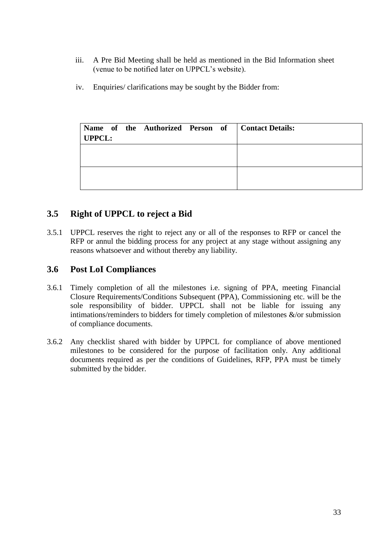- iii. A Pre Bid Meeting shall be held as mentioned in the Bid Information sheet (venue to be notified later on UPPCL's website).
- iv. Enquiries/ clarifications may be sought by the Bidder from:

| <b>UPPCL:</b> |  |  | Name of the Authorized Person of   Contact Details: |
|---------------|--|--|-----------------------------------------------------|
|               |  |  |                                                     |
|               |  |  |                                                     |

## **3.5 Right of UPPCL to reject a Bid**

3.5.1 UPPCL reserves the right to reject any or all of the responses to RFP or cancel the RFP or annul the bidding process for any project at any stage without assigning any reasons whatsoever and without thereby any liability.

#### **3.6 Post LoI Compliances**

- 3.6.1 Timely completion of all the milestones i.e. signing of PPA, meeting Financial Closure Requirements/Conditions Subsequent (PPA), Commissioning etc. will be the sole responsibility of bidder. UPPCL shall not be liable for issuing any intimations/reminders to bidders for timely completion of milestones &/or submission of compliance documents.
- 3.6.2 Any checklist shared with bidder by UPPCL for compliance of above mentioned milestones to be considered for the purpose of facilitation only. Any additional documents required as per the conditions of Guidelines, RFP, PPA must be timely submitted by the bidder.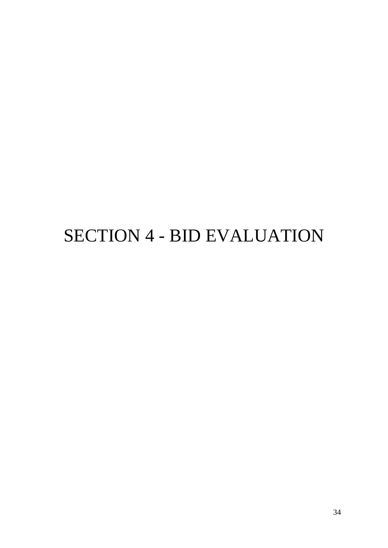# SECTION 4 - BID EVALUATION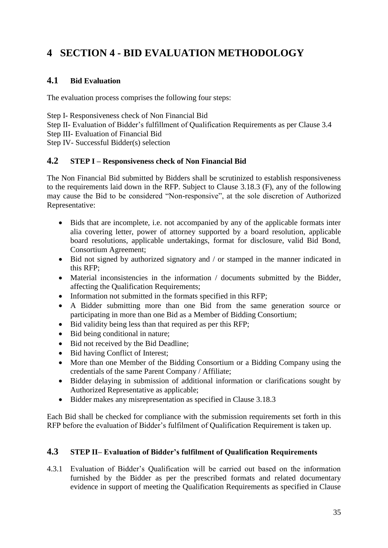# <span id="page-34-0"></span>**4 SECTION 4 - BID EVALUATION METHODOLOGY**

#### **4.1 Bid Evaluation**

The evaluation process comprises the following four steps:

Step I- Responsiveness check of Non Financial Bid

Step II- Evaluation of Bidder's fulfillment of Qualification Requirements as per Clause [3.4](#page-17-0)

Step III- Evaluation of Financial Bid

Step IV- Successful Bidder(s) selection

#### <span id="page-34-1"></span>**4.2 STEP I – Responsiveness check of Non Financial Bid**

The Non Financial Bid submitted by Bidders shall be scrutinized to establish responsiveness to the requirements laid down in the RFP. Subject to Clause [3.18.3](#page-29-0) (F), any of the following may cause the Bid to be considered "Non-responsive", at the sole discretion of Authorized Representative:

- Bids that are incomplete, i.e. not accompanied by any of the applicable formats inter alia covering letter, power of attorney supported by a board resolution, applicable board resolutions, applicable undertakings, format for disclosure, valid Bid Bond, Consortium Agreement;
- Bid not signed by authorized signatory and / or stamped in the manner indicated in this RFP;
- Material inconsistencies in the information / documents submitted by the Bidder, affecting the Qualification Requirements;
- Information not submitted in the formats specified in this RFP:
- A Bidder submitting more than one Bid from the same generation source or participating in more than one Bid as a Member of Bidding Consortium;
- Bid validity being less than that required as per this RFP;
- Bid being conditional in nature:
- Bid not received by the Bid Deadline;
- Bid having Conflict of Interest;
- More than one Member of the Bidding Consortium or a Bidding Company using the credentials of the same Parent Company / Affiliate;
- Bidder delaying in submission of additional information or clarifications sought by Authorized Representative as applicable;
- Bidder makes any misrepresentation as specified in Clause [3.18.3](#page-29-0)

Each Bid shall be checked for compliance with the submission requirements set forth in this RFP before the evaluation of Bidder's fulfilment of Qualification Requirement is taken up.

#### <span id="page-34-2"></span>**4.3 STEP II– Evaluation of Bidder's fulfilment of Qualification Requirements**

4.3.1 Evaluation of Bidder's Qualification will be carried out based on the information furnished by the Bidder as per the prescribed formats and related documentary evidence in support of meeting the Qualification Requirements as specified in Clause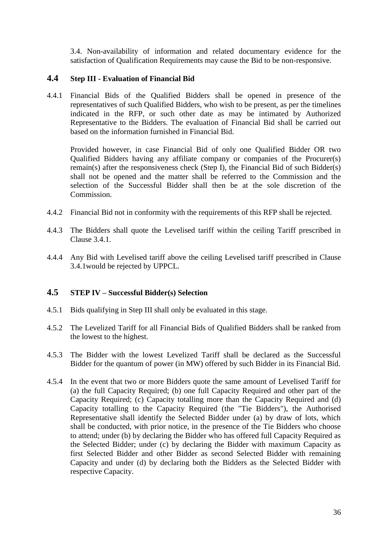[3.4.](#page-17-0) Non-availability of information and related documentary evidence for the satisfaction of Qualification Requirements may cause the Bid to be non-responsive.

#### **4.4 Step III - Evaluation of Financial Bid**

4.4.1 Financial Bids of the Qualified Bidders shall be opened in presence of the representatives of such Qualified Bidders, who wish to be present, as per the timelines indicated in the RFP, or such other date as may be intimated by Authorized Representative to the Bidders. The evaluation of Financial Bid shall be carried out based on the information furnished in Financial Bid.

Provided however, in case Financial Bid of only one Qualified Bidder OR two Qualified Bidders having any affiliate company or companies of the Procurer(s) remain(s) after the responsiveness check (Step I), the Financial Bid of such Bidder(s) shall not be opened and the matter shall be referred to the Commission and the selection of the Successful Bidder shall then be at the sole discretion of the Commission.

- 4.4.2 Financial Bid not in conformity with the requirements of this RFP shall be rejected.
- 4.4.3 The Bidders shall quote the Levelised tariff within the ceiling Tariff prescribed in Clause [3.4.1.](#page-17-1)
- 4.4.4 Any Bid with Levelised tariff above the ceiling Levelised tariff prescribed in Clause [3.4.1w](#page-17-1)ould be rejected by UPPCL.

#### <span id="page-35-0"></span>**4.5 STEP IV – Successful Bidder(s) Selection**

- 4.5.1 Bids qualifying in Step III shall only be evaluated in this stage.
- 4.5.2 The Levelized Tariff for all Financial Bids of Qualified Bidders shall be ranked from the lowest to the highest.
- 4.5.3 The Bidder with the lowest Levelized Tariff shall be declared as the Successful Bidder for the quantum of power (in MW) offered by such Bidder in its Financial Bid.
- 4.5.4 In the event that two or more Bidders quote the same amount of Levelised Tariff for (a) the full Capacity Required; (b) one full Capacity Required and other part of the Capacity Required; (c) Capacity totalling more than the Capacity Required and (d) Capacity totalling to the Capacity Required (the "Tie Bidders"), the Authorised Representative shall identify the Selected Bidder under (a) by draw of lots, which shall be conducted, with prior notice, in the presence of the Tie Bidders who choose to attend; under (b) by declaring the Bidder who has offered full Capacity Required as the Selected Bidder; under (c) by declaring the Bidder with maximum Capacity as first Selected Bidder and other Bidder as second Selected Bidder with remaining Capacity and under (d) by declaring both the Bidders as the Selected Bidder with respective Capacity.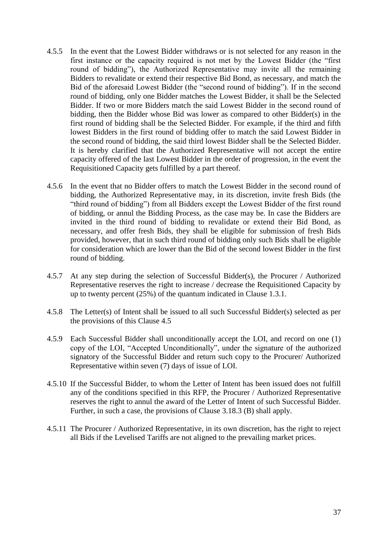- 4.5.5 In the event that the Lowest Bidder withdraws or is not selected for any reason in the first instance or the capacity required is not met by the Lowest Bidder (the "first round of bidding"), the Authorized Representative may invite all the remaining Bidders to revalidate or extend their respective Bid Bond, as necessary, and match the Bid of the aforesaid Lowest Bidder (the "second round of bidding"). If in the second round of bidding, only one Bidder matches the Lowest Bidder, it shall be the Selected Bidder. If two or more Bidders match the said Lowest Bidder in the second round of bidding, then the Bidder whose Bid was lower as compared to other Bidder(s) in the first round of bidding shall be the Selected Bidder. For example, if the third and fifth lowest Bidders in the first round of bidding offer to match the said Lowest Bidder in the second round of bidding, the said third lowest Bidder shall be the Selected Bidder. It is hereby clarified that the Authorized Representative will not accept the entire capacity offered of the last Lowest Bidder in the order of progression, in the event the Requisitioned Capacity gets fulfilled by a part thereof.
- 4.5.6 In the event that no Bidder offers to match the Lowest Bidder in the second round of bidding, the Authorized Representative may, in its discretion, invite fresh Bids (the "third round of bidding") from all Bidders except the Lowest Bidder of the first round of bidding, or annul the Bidding Process, as the case may be. In case the Bidders are invited in the third round of bidding to revalidate or extend their Bid Bond, as necessary, and offer fresh Bids, they shall be eligible for submission of fresh Bids provided, however, that in such third round of bidding only such Bids shall be eligible for consideration which are lower than the Bid of the second lowest Bidder in the first round of bidding.
- 4.5.7 At any step during the selection of Successful Bidder(s), the Procurer / Authorized Representative reserves the right to increase / decrease the Requisitioned Capacity by up to twenty percent (25%) of the quantum indicated in Clause [1.3.1.](#page-8-1)
- 4.5.8 The Letter(s) of Intent shall be issued to all such Successful Bidder(s) selected as per the provisions of this Clause [4.5](#page-35-0)
- 4.5.9 Each Successful Bidder shall unconditionally accept the LOI, and record on one (1) copy of the LOI, "Accepted Unconditionally", under the signature of the authorized signatory of the Successful Bidder and return such copy to the Procurer/ Authorized Representative within seven (7) days of issue of LOI.
- 4.5.10 If the Successful Bidder, to whom the Letter of Intent has been issued does not fulfill any of the conditions specified in this RFP, the Procurer / Authorized Representative reserves the right to annul the award of the Letter of Intent of such Successful Bidder. Further, in such a case, the provisions of Clause [3.18.3](#page-29-0) (B) shall apply.
- 4.5.11 The Procurer / Authorized Representative, in its own discretion, has the right to reject all Bids if the Levelised Tariffs are not aligned to the prevailing market prices.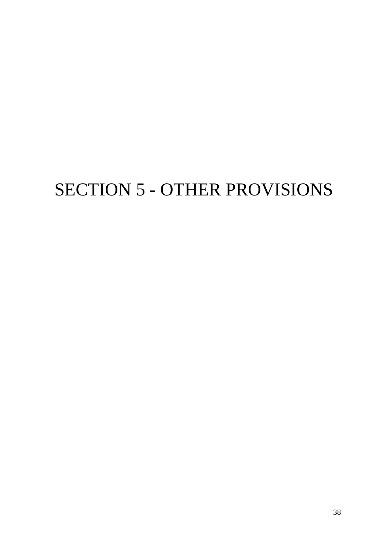# SECTION 5 - OTHER PROVISIONS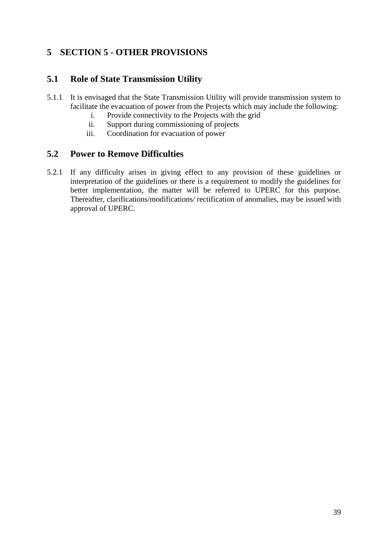## <span id="page-38-0"></span>**5 SECTION 5 - OTHER PROVISIONS**

## **5.1 Role of State Transmission Utility**

- 5.1.1 It is envisaged that the State Transmission Utility will provide transmission system to facilitate the evacuation of power from the Projects which may include the following:
	- i. Provide connectivity to the Projects with the grid
	- ii. Support during commissioning of projects
	- iii. Coordination for evacuation of power

#### **5.2 Power to Remove Difficulties**

5.2.1 If any difficulty arises in giving effect to any provision of these guidelines or interpretation of the guidelines or there is a requirement to modify the guidelines for better implementation, the matter will be referred to UPERC for this purpose. Thereafter, clarifications/modifications/ rectification of anomalies, may be issued with approval of UPERC.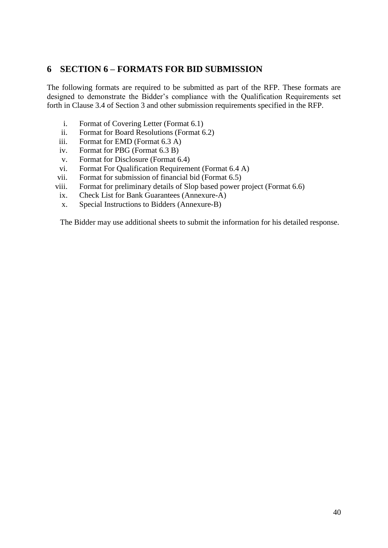## <span id="page-39-0"></span>**6 SECTION 6 – FORMATS FOR BID SUBMISSION**

The following formats are required to be submitted as part of the RFP. These formats are designed to demonstrate the Bidder's compliance with the Qualification Requirements set forth in Clause 3.4 of Section 3 and other submission requirements specified in the RFP.

- i. Format of Covering Letter (Format 6.1)
- ii. Format for Board Resolutions (Format 6.2)
- iii. Format for EMD (Format 6.3 A)
- iv. Format for PBG (Format 6.3 B)
- v. Format for Disclosure (Format 6.4)
- vi. Format For Qualification Requirement (Format 6.4 A)
- vii. Format for submission of financial bid (Format 6.5)
- viii. Format for preliminary details of Slop based power project (Format 6.6)
	- ix. Check List for Bank Guarantees (Annexure-A)
	- x. Special Instructions to Bidders (Annexure-B)

The Bidder may use additional sheets to submit the information for his detailed response.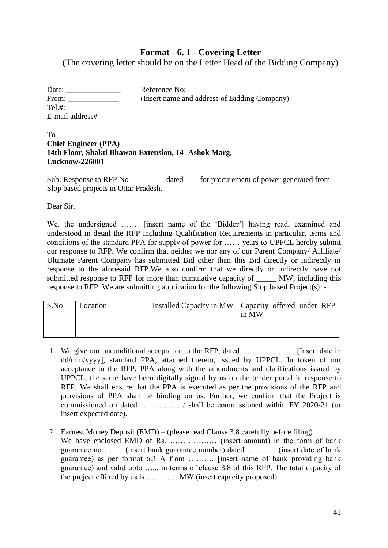#### **Format - 6. 1 - Covering Letter**

(The covering letter should be on the Letter Head of the Bidding Company)

| Date:           | Reference No:                                |
|-----------------|----------------------------------------------|
| From:           | (Insert name and address of Bidding Company) |
| Tel.#:          |                                              |
| E-mail address# |                                              |

#### To **Chief Engineer (PPA) 14th Floor, Shakti Bhawan Extension, 14- Ashok Marg, Lucknow-226001**

Sub: Response to RFP No ------------- dated ----- for procurement of power generated from Slop based projects in Uttar Pradesh.

Dear Sir,

We, the undersigned ....... [insert name of the 'Bidder'] having read, examined and understood in detail the RFP including Qualification Requirements in particular, terms and conditions of the standard PPA for supply of power for …… years to UPPCL hereby submit our response to RFP. We confirm that neither we nor any of our Parent Company/ Affiliate/ Ultimate Parent Company has submitted Bid other than this Bid directly or indirectly in response to the aforesaid RFP.We also confirm that we directly or indirectly have not submitted response to RFP for more than cumulative capacity of \_\_\_\_\_ MW, including this response to RFP. We are submitting application for the following Slop based Project(s): -

| S.No | Location | Installed Capacity in MW   Capacity offered under RFP<br>in MW |
|------|----------|----------------------------------------------------------------|
|      |          |                                                                |

- 1. We give our unconditional acceptance to the RFP, dated ……………..…. [Insert date in dd/mm/yyyy], standard PPA, attached thereto, issued by UPPCL. In token of our acceptance to the RFP, PPA along with the amendments and clarifications issued by UPPCL, the same have been digitally signed by us on the tender portal in response to RFP. We shall ensure that the PPA is executed as per the provisions of the RFP and provisions of PPA shall be binding on us. Further, we confirm that the Project is commissioned on dated …………… / shall be commissioned within FY 2020-21 (or insert expected date).
- 2. Earnest Money Deposit (EMD) (please read Clause 3.8 carefully before filing) We have enclosed EMD of Rs. ……………… (insert amount) in the form of bank guarantee no……... (insert bank guarantee number) dated ………... (insert date of bank guarantee) as per format 6.3 A from ………. [insert name of bank providing bank guarantee) and valid upto …... in terms of clause 3.8 of this RFP. The total capacity of the project offered by us is ………… MW (insert capacity proposed)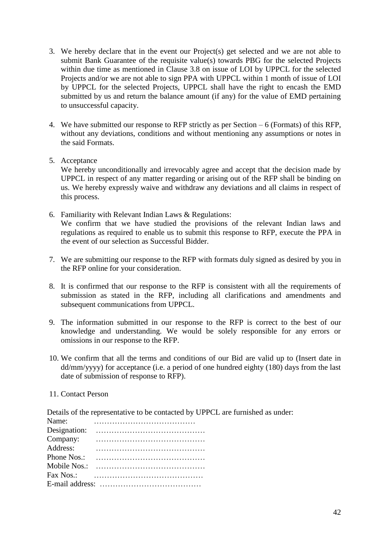- 3. We hereby declare that in the event our Project(s) get selected and we are not able to submit Bank Guarantee of the requisite value(s) towards PBG for the selected Projects within due time as mentioned in Clause 3.8 on issue of LOI by UPPCL for the selected Projects and/or we are not able to sign PPA with UPPCL within 1 month of issue of LOI by UPPCL for the selected Projects, UPPCL shall have the right to encash the EMD submitted by us and return the balance amount (if any) for the value of EMD pertaining to unsuccessful capacity.
- 4. We have submitted our response to RFP strictly as per Section 6 (Formats) of this RFP, without any deviations, conditions and without mentioning any assumptions or notes in the said Formats.

#### 5. Acceptance

We hereby unconditionally and irrevocably agree and accept that the decision made by UPPCL in respect of any matter regarding or arising out of the RFP shall be binding on us. We hereby expressly waive and withdraw any deviations and all claims in respect of this process.

- 6. Familiarity with Relevant Indian Laws & Regulations: We confirm that we have studied the provisions of the relevant Indian laws and regulations as required to enable us to submit this response to RFP, execute the PPA in the event of our selection as Successful Bidder.
- 7. We are submitting our response to the RFP with formats duly signed as desired by you in the RFP online for your consideration.
- 8. It is confirmed that our response to the RFP is consistent with all the requirements of submission as stated in the RFP, including all clarifications and amendments and subsequent communications from UPPCL.
- 9. The information submitted in our response to the RFP is correct to the best of our knowledge and understanding. We would be solely responsible for any errors or omissions in our response to the RFP.
- 10. We confirm that all the terms and conditions of our Bid are valid up to (Insert date in dd/mm/yyyy) for acceptance (i.e. a period of one hundred eighty (180) days from the last date of submission of response to RFP).

#### 11. Contact Person

Details of the representative to be contacted by UPPCL are furnished as under:

| Name:        |  |  |  |  |  |  |  |  |  |  |  |  |  |
|--------------|--|--|--|--|--|--|--|--|--|--|--|--|--|
| Designation: |  |  |  |  |  |  |  |  |  |  |  |  |  |
| Company:     |  |  |  |  |  |  |  |  |  |  |  |  |  |
| Address:     |  |  |  |  |  |  |  |  |  |  |  |  |  |
| Phone Nos.:  |  |  |  |  |  |  |  |  |  |  |  |  |  |
| Mobile Nos.: |  |  |  |  |  |  |  |  |  |  |  |  |  |
| Fax Nos.:    |  |  |  |  |  |  |  |  |  |  |  |  |  |
|              |  |  |  |  |  |  |  |  |  |  |  |  |  |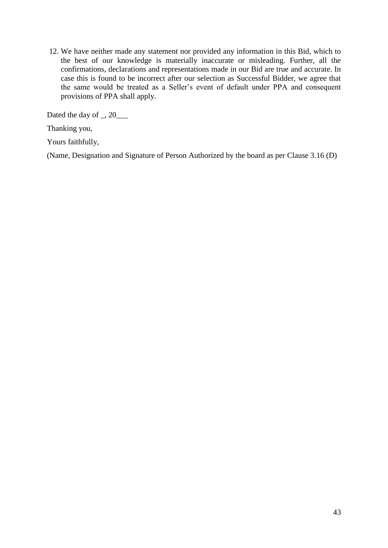12. We have neither made any statement nor provided any information in this Bid, which to the best of our knowledge is materially inaccurate or misleading. Further, all the confirmations, declarations and representations made in our Bid are true and accurate. In case this is found to be incorrect after our selection as Successful Bidder, we agree that the same would be treated as a Seller's event of default under PPA and consequent provisions of PPA shall apply.

Dated the day of \_, 20\_\_\_

Thanking you,

Yours faithfully,

(Name, Designation and Signature of Person Authorized by the board as per Clause 3.16 (D)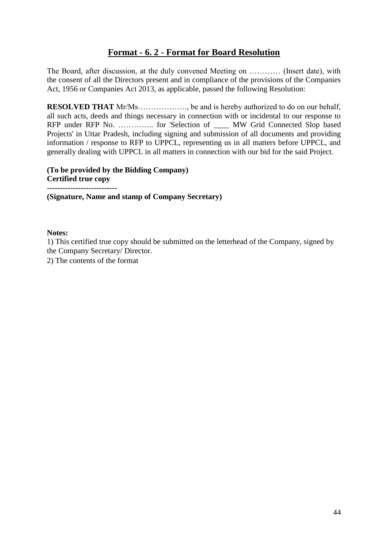## **Format - 6. 2 - Format for Board Resolution**

The Board, after discussion, at the duly convened Meeting on ………… (Insert date), with the consent of all the Directors present and in compliance of the provisions of the Companies Act, 1956 or Companies Act 2013, as applicable, passed the following Resolution:

**RESOLVED THAT** Mr/Ms………………., be and is hereby authorized to do on our behalf, all such acts, deeds and things necessary in connection with or incidental to our response to RFP under RFP No. ………….. for 'Selection of \_\_\_\_ MW Grid Connected Slop based Projects' in Uttar Pradesh, including signing and submission of all documents and providing information / response to RFP to UPPCL, representing us in all matters before UPPCL, and generally dealing with UPPCL in all matters in connection with our bid for the said Project.

**(To be provided by the Bidding Company) Certified true copy ---------------------------**

**(Signature, Name and stamp of Company Secretary)** 

#### **Notes:**

1) This certified true copy should be submitted on the letterhead of the Company, signed by the Company Secretary/ Director.

2) The contents of the format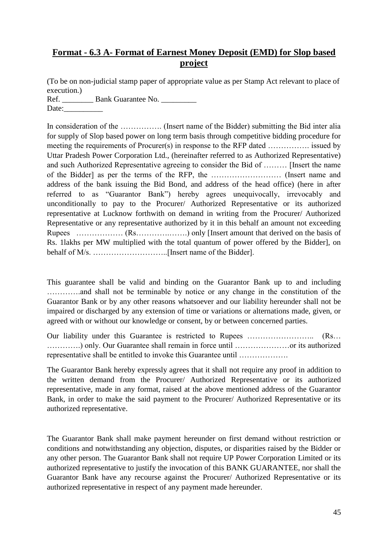## **Format - 6.3 A- Format of Earnest Money Deposit (EMD) for Slop based project**

(To be on non-judicial stamp paper of appropriate value as per Stamp Act relevant to place of execution.)

Ref. \_\_\_\_\_\_\_\_\_\_ Bank Guarantee No. \_\_\_\_\_\_\_\_\_\_\_ Date:

In consideration of the …………….. (Insert name of the Bidder) submitting the Bid inter alia for supply of Slop based power on long term basis through competitive bidding procedure for meeting the requirements of Procurer(s) in response to the RFP dated ……………. issued by Uttar Pradesh Power Corporation Ltd., (hereinafter referred to as Authorized Representative) and such Authorized Representative agreeing to consider the Bid of ……… [Insert the name of the Bidder] as per the terms of the RFP, the ……………………… (Insert name and address of the bank issuing the Bid Bond, and address of the head office) (here in after referred to as "Guarantor Bank") hereby agrees unequivocally, irrevocably and unconditionally to pay to the Procurer/ Authorized Representative or its authorized representative at Lucknow forthwith on demand in writing from the Procurer/ Authorized Representative or any representative authorized by it in this behalf an amount not exceeding Rupees ……………… (Rs………….…….) only [Insert amount that derived on the basis of Rs. 1lakhs per MW multiplied with the total quantum of power offered by the Bidder], on behalf of M/s. ………………………..[Insert name of the Bidder].

This guarantee shall be valid and binding on the Guarantor Bank up to and including ………….and shall not be terminable by notice or any change in the constitution of the Guarantor Bank or by any other reasons whatsoever and our liability hereunder shall not be impaired or discharged by any extension of time or variations or alternations made, given, or agreed with or without our knowledge or consent, by or between concerned parties.

Our liability under this Guarantee is restricted to Rupees ……………………….. (Rs... ………….) only. Our Guarantee shall remain in force until …………………or its authorized representative shall be entitled to invoke this Guarantee until ……………….

The Guarantor Bank hereby expressly agrees that it shall not require any proof in addition to the written demand from the Procurer/ Authorized Representative or its authorized representative, made in any format, raised at the above mentioned address of the Guarantor Bank, in order to make the said payment to the Procurer/ Authorized Representative or its authorized representative.

The Guarantor Bank shall make payment hereunder on first demand without restriction or conditions and notwithstanding any objection, disputes, or disparities raised by the Bidder or any other person. The Guarantor Bank shall not require UP Power Corporation Limited or its authorized representative to justify the invocation of this BANK GUARANTEE, nor shall the Guarantor Bank have any recourse against the Procurer/ Authorized Representative or its authorized representative in respect of any payment made hereunder.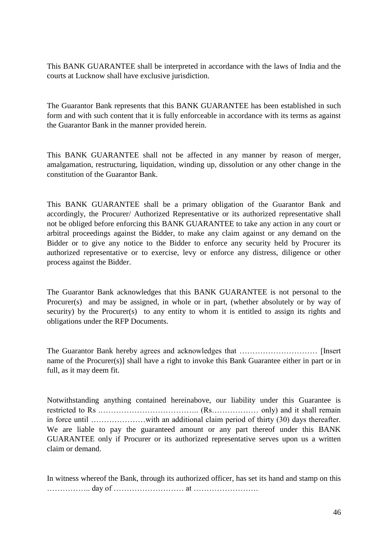This BANK GUARANTEE shall be interpreted in accordance with the laws of India and the courts at Lucknow shall have exclusive jurisdiction.

The Guarantor Bank represents that this BANK GUARANTEE has been established in such form and with such content that it is fully enforceable in accordance with its terms as against the Guarantor Bank in the manner provided herein.

This BANK GUARANTEE shall not be affected in any manner by reason of merger, amalgamation, restructuring, liquidation, winding up, dissolution or any other change in the constitution of the Guarantor Bank.

This BANK GUARANTEE shall be a primary obligation of the Guarantor Bank and accordingly, the Procurer/ Authorized Representative or its authorized representative shall not be obliged before enforcing this BANK GUARANTEE to take any action in any court or arbitral proceedings against the Bidder, to make any claim against or any demand on the Bidder or to give any notice to the Bidder to enforce any security held by Procurer its authorized representative or to exercise, levy or enforce any distress, diligence or other process against the Bidder.

The Guarantor Bank acknowledges that this BANK GUARANTEE is not personal to the Procurer(s) and may be assigned, in whole or in part, (whether absolutely or by way of security) by the Procurer(s) to any entity to whom it is entitled to assign its rights and obligations under the RFP Documents.

The Guarantor Bank hereby agrees and acknowledges that ………………………… [Insert name of the Procurer(s)] shall have a right to invoke this Bank Guarantee either in part or in full, as it may deem fit.

Notwithstanding anything contained hereinabove, our liability under this Guarantee is restricted to Rs .……………………………….. (Rs……………… only) and it shall remain in force until …………………with an additional claim period of thirty (30) days thereafter. We are liable to pay the guaranteed amount or any part thereof under this BANK GUARANTEE only if Procurer or its authorized representative serves upon us a written claim or demand.

In witness whereof the Bank, through its authorized officer, has set its hand and stamp on this …………….. day of ……………………… at …………………….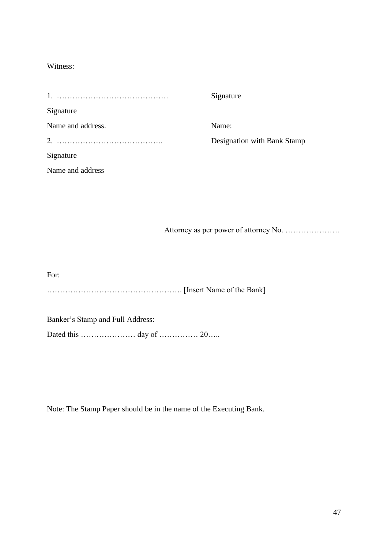#### Witness:

|                   | Signature                   |
|-------------------|-----------------------------|
| Signature         |                             |
| Name and address. | Name:                       |
|                   | Designation with Bank Stamp |
| Signature         |                             |
| Name and address  |                             |

Attorney as per power of attorney No. …………………

For: ……………………………………………. [Insert Name of the Bank]

Banker's Stamp and Full Address:

Dated this ………………… day of …………… 20…..

Note: The Stamp Paper should be in the name of the Executing Bank.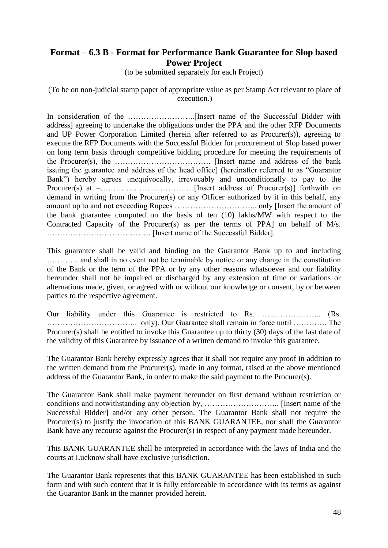## **Format – 6.3 B - Format for Performance Bank Guarantee for Slop based Power Project**

(to be submitted separately for each Project)

(To be on non-judicial stamp paper of appropriate value as per Stamp Act relevant to place of execution.)

In consideration of the ……………………..[Insert name of the Successful Bidder with address] agreeing to undertake the obligations under the PPA and the other RFP Documents and UP Power Corporation Limited (herein after referred to as Procurer(s)), agreeing to execute the RFP Documents with the Successful Bidder for procurement of Slop based power on long term basis through competitive bidding procedure for meeting the requirements of the Procurer(s), the ………………………………. [Insert name and address of the bank issuing the guarantee and address of the head office] (hereinafter referred to as "Guarantor Bank") hereby agrees unequivocally, irrevocably and unconditionally to pay to the Procurer(s) at –………………………………[Insert address of Procurer(s)] forthwith on demand in writing from the Procurer(s) or any Officer authorized by it in this behalf, any amount up to and not exceeding Rupees ………………………….. only [Insert the amount of the bank guarantee computed on the basis of ten (10) lakhs/MW with respect to the Contracted Capacity of the Procurer(s) as per the terms of PPA] on behalf of M/s. …………………………………. [Insert name of the Successful Bidder].

This guarantee shall be valid and binding on the Guarantor Bank up to and including ………… and shall in no event not be terminable by notice or any change in the constitution of the Bank or the term of the PPA or by any other reasons whatsoever and our liability hereunder shall not be impaired or discharged by any extension of time or variations or alternations made, given, or agreed with or without our knowledge or consent, by or between parties to the respective agreement.

Our liability under this Guarantee is restricted to Rs. ……………………. (Rs. …………………………….. only). Our Guarantee shall remain in force until …………. The Procurer(s) shall be entitled to invoke this Guarantee up to thirty (30) days of the last date of the validity of this Guarantee by issuance of a written demand to invoke this guarantee.

The Guarantor Bank hereby expressly agrees that it shall not require any proof in addition to the written demand from the Procurer(s), made in any format, raised at the above mentioned address of the Guarantor Bank, in order to make the said payment to the Procurer(s).

The Guarantor Bank shall make payment hereunder on first demand without restriction or conditions and notwithstanding any objection by, ……………………….. [Insert name of the Successful Bidder] and/or any other person. The Guarantor Bank shall not require the Procurer(s) to justify the invocation of this BANK GUARANTEE, nor shall the Guarantor Bank have any recourse against the Procurer(s) in respect of any payment made hereunder.

This BANK GUARANTEE shall be interpreted in accordance with the laws of India and the courts at Lucknow shall have exclusive jurisdiction.

The Guarantor Bank represents that this BANK GUARANTEE has been established in such form and with such content that it is fully enforceable in accordance with its terms as against the Guarantor Bank in the manner provided herein.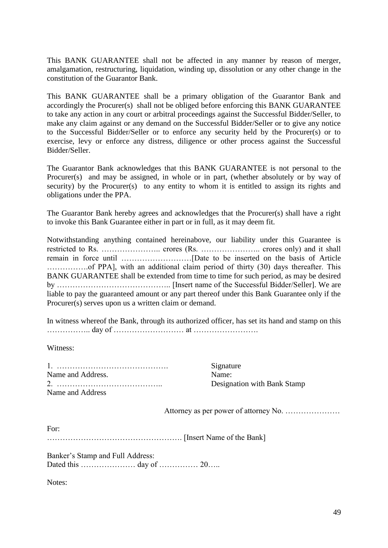This BANK GUARANTEE shall not be affected in any manner by reason of merger, amalgamation, restructuring, liquidation, winding up, dissolution or any other change in the constitution of the Guarantor Bank.

This BANK GUARANTEE shall be a primary obligation of the Guarantor Bank and accordingly the Procurer(s) shall not be obliged before enforcing this BANK GUARANTEE to take any action in any court or arbitral proceedings against the Successful Bidder/Seller, to make any claim against or any demand on the Successful Bidder/Seller or to give any notice to the Successful Bidder/Seller or to enforce any security held by the Procurer(s) or to exercise, levy or enforce any distress, diligence or other process against the Successful Bidder/Seller.

The Guarantor Bank acknowledges that this BANK GUARANTEE is not personal to the Procurer(s) and may be assigned, in whole or in part, (whether absolutely or by way of security) by the Procurer(s) to any entity to whom it is entitled to assign its rights and obligations under the PPA.

The Guarantor Bank hereby agrees and acknowledges that the Procurer(s) shall have a right to invoke this Bank Guarantee either in part or in full, as it may deem fit.

Notwithstanding anything contained hereinabove, our liability under this Guarantee is restricted to Rs. ………………….. crores (Rs. ………………….. crores only) and it shall remain in force until ………………………[Date to be inserted on the basis of Article …………….of PPA], with an additional claim period of thirty (30) days thereafter. This BANK GUARANTEE shall be extended from time to time for such period, as may be desired by …………………………………….. [Insert name of the Successful Bidder/Seller]. We are liable to pay the guaranteed amount or any part thereof under this Bank Guarantee only if the Procurer(s) serves upon us a written claim or demand.

In witness whereof the Bank, through its authorized officer, has set its hand and stamp on this …………….. day of ……………………… at …………………….

Witness:

1. ……………………………………. Signature Name and Address. Name: 2. ………………………………….. Designation with Bank Stamp Name and Address

Attorney as per power of attorney No. …………………

For: ……………………………………………. [Insert Name of the Bank]

Banker's Stamp and Full Address: Dated this ………………… day of …………… 20…..

Notes: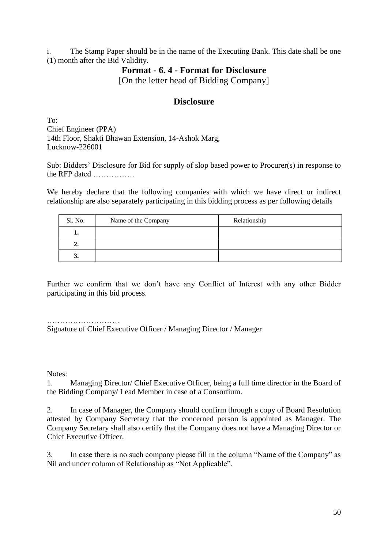i. The Stamp Paper should be in the name of the Executing Bank. This date shall be one (1) month after the Bid Validity.

#### **Format - 6. 4 - Format for Disclosure**

[On the letter head of Bidding Company]

#### **Disclosure**

To: Chief Engineer (PPA) 14th Floor, Shakti Bhawan Extension, 14-Ashok Marg, Lucknow-226001

Sub: Bidders' Disclosure for Bid for supply of slop based power to Procurer(s) in response to the RFP dated …………….

We hereby declare that the following companies with which we have direct or indirect relationship are also separately participating in this bidding process as per following details

| Sl. No. | Name of the Company | Relationship |
|---------|---------------------|--------------|
|         |                     |              |
| ∸-      |                     |              |
| J.      |                     |              |

Further we confirm that we don't have any Conflict of Interest with any other Bidder participating in this bid process.

Signature of Chief Executive Officer / Managing Director / Manager

Notes:

1. Managing Director/ Chief Executive Officer, being a full time director in the Board of the Bidding Company/ Lead Member in case of a Consortium.

2. In case of Manager, the Company should confirm through a copy of Board Resolution attested by Company Secretary that the concerned person is appointed as Manager. The Company Secretary shall also certify that the Company does not have a Managing Director or Chief Executive Officer.

3. In case there is no such company please fill in the column "Name of the Company" as Nil and under column of Relationship as "Not Applicable".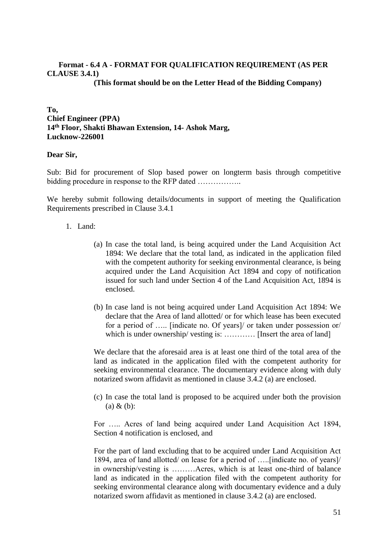#### **Format - 6.4 A - FORMAT FOR QUALIFICATION REQUIREMENT (AS PER CLAUSE 3.4.1)**

**(This format should be on the Letter Head of the Bidding Company)**

**To, Chief Engineer (PPA) 14th Floor, Shakti Bhawan Extension, 14- Ashok Marg, Lucknow-226001**

#### **Dear Sir,**

Sub: Bid for procurement of Slop based power on longterm basis through competitive bidding procedure in response to the RFP dated ..................

We hereby submit following details/documents in support of meeting the Qualification Requirements prescribed in Clause 3.4.1

#### 1. Land:

- (a) In case the total land, is being acquired under the Land Acquisition Act 1894: We declare that the total land, as indicated in the application filed with the competent authority for seeking environmental clearance, is being acquired under the Land Acquisition Act 1894 and copy of notification issued for such land under Section 4 of the Land Acquisition Act, 1894 is enclosed.
- (b) In case land is not being acquired under Land Acquisition Act 1894: We declare that the Area of land allotted/ or for which lease has been executed for a period of ….. [indicate no. Of years]/ or taken under possession or/ which is under ownership/ vesting is: ............. [Insert the area of land]

We declare that the aforesaid area is at least one third of the total area of the land as indicated in the application filed with the competent authority for seeking environmental clearance. The documentary evidence along with duly notarized sworn affidavit as mentioned in clause 3.4.2 (a) are enclosed.

(c) In case the total land is proposed to be acquired under both the provision (a) & (b):

For ….. Acres of land being acquired under Land Acquisition Act 1894, Section 4 notification is enclosed, and

For the part of land excluding that to be acquired under Land Acquisition Act 1894, area of land allotted/ on lease for a period of …..[indicate no. of years]/ in ownership/vesting is ………Acres, which is at least one-third of balance land as indicated in the application filed with the competent authority for seeking environmental clearance along with documentary evidence and a duly notarized sworn affidavit as mentioned in clause 3.4.2 (a) are enclosed.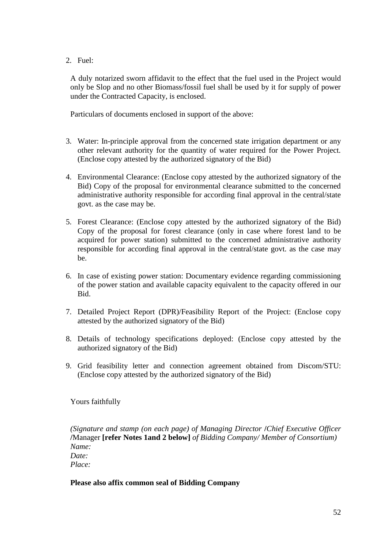2. Fuel:

A duly notarized sworn affidavit to the effect that the fuel used in the Project would only be Slop and no other Biomass/fossil fuel shall be used by it for supply of power under the Contracted Capacity, is enclosed.

Particulars of documents enclosed in support of the above:

- 3. Water: In-principle approval from the concerned state irrigation department or any other relevant authority for the quantity of water required for the Power Project. (Enclose copy attested by the authorized signatory of the Bid)
- 4. Environmental Clearance: (Enclose copy attested by the authorized signatory of the Bid) Copy of the proposal for environmental clearance submitted to the concerned administrative authority responsible for according final approval in the central/state govt. as the case may be.
- 5. Forest Clearance: (Enclose copy attested by the authorized signatory of the Bid) Copy of the proposal for forest clearance (only in case where forest land to be acquired for power station) submitted to the concerned administrative authority responsible for according final approval in the central/state govt. as the case may be.
- 6. In case of existing power station: Documentary evidence regarding commissioning of the power station and available capacity equivalent to the capacity offered in our Bid.
- 7. Detailed Project Report (DPR)/Feasibility Report of the Project: (Enclose copy attested by the authorized signatory of the Bid)
- 8. Details of technology specifications deployed: (Enclose copy attested by the authorized signatory of the Bid)
- 9. Grid feasibility letter and connection agreement obtained from Discom/STU: (Enclose copy attested by the authorized signatory of the Bid)

Yours faithfully

*(Signature and stamp (on each page) of Managing Director* **/***Chief Executive Officer* **/**Manager **[refer Notes 1and 2 below]** *of Bidding Company/ Member of Consortium) Name: Date: Place:*

#### **Please also affix common seal of Bidding Company**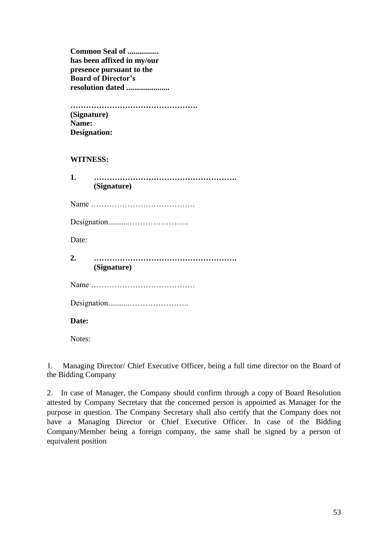**Common Seal of ................ has been affixed in my/our presence pursuant to the Board of Director's resolution dated ......................**

**…………………………………………. (Signature) Name: Designation:**

#### **WITNESS:**

| 1.    | (Signature) |  |  |  |
|-------|-------------|--|--|--|
|       |             |  |  |  |
|       |             |  |  |  |
| Date: |             |  |  |  |
|       | (Signature) |  |  |  |
|       |             |  |  |  |
|       |             |  |  |  |
| Date: |             |  |  |  |

Notes:

1. Managing Director/ Chief Executive Officer, being a full time director on the Board of the Bidding Company

2. In case of Manager, the Company should confirm through a copy of Board Resolution attested by Company Secretary that the concerned person is appointed as Manager for the purpose in question. The Company Secretary shall also certify that the Company does not have a Managing Director or Chief Executive Officer. In case of the Bidding Company/Member being a foreign company, the same shall be signed by a person of equivalent position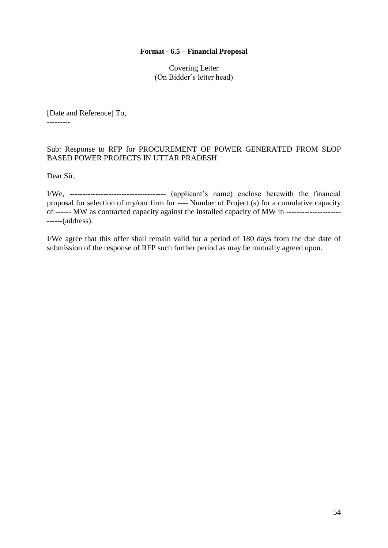#### **Format - 6.5 – Financial Proposal**

Covering Letter (On Bidder's letter head)

[Date and Reference] To, ---------

#### Sub: Response to RFP for PROCUREMENT OF POWER GENERATED FROM SLOP BASED POWER PROJECTS IN UTTAR PRADESH

Dear Sir,

I/We, ------------------------------------- (applicant's name) enclose herewith the financial proposal for selection of my/our firm for ---- Number of Project (s) for a cumulative capacity of ------ MW as contracted capacity against the installed capacity of MW in --------------------- ------(address).

I/We agree that this offer shall remain valid for a period of 180 days from the due date of submission of the response of RFP such further period as may be mutually agreed upon.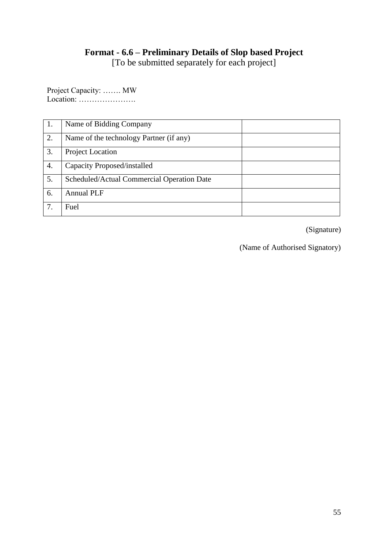## **Format - 6.6 – Preliminary Details of Slop based Project**

[To be submitted separately for each project]

Project Capacity: ……. MW Location: ………………….

| 1. | Name of Bidding Company                    |  |
|----|--------------------------------------------|--|
|    |                                            |  |
| 2. | Name of the technology Partner (if any)    |  |
|    |                                            |  |
| 3. | Project Location                           |  |
|    |                                            |  |
| 4. | Capacity Proposed/installed                |  |
|    |                                            |  |
| 5. | Scheduled/Actual Commercial Operation Date |  |
|    |                                            |  |
| 6. | <b>Annual PLF</b>                          |  |
|    |                                            |  |
| 7. | Fuel                                       |  |
|    |                                            |  |
|    |                                            |  |

(Signature)

(Name of Authorised Signatory)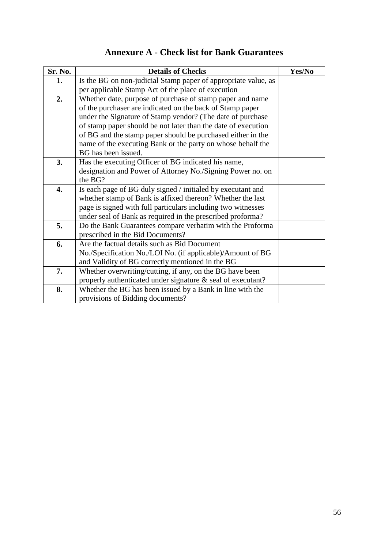| Sr. No.          | <b>Details of Checks</b>                                       | Yes/No |
|------------------|----------------------------------------------------------------|--------|
| 1.               | Is the BG on non-judicial Stamp paper of appropriate value, as |        |
|                  | per applicable Stamp Act of the place of execution             |        |
| 2.               | Whether date, purpose of purchase of stamp paper and name      |        |
|                  | of the purchaser are indicated on the back of Stamp paper      |        |
|                  | under the Signature of Stamp vendor? (The date of purchase     |        |
|                  | of stamp paper should be not later than the date of execution  |        |
|                  | of BG and the stamp paper should be purchased either in the    |        |
|                  | name of the executing Bank or the party on whose behalf the    |        |
|                  | BG has been issued.                                            |        |
| 3.               | Has the executing Officer of BG indicated his name,            |        |
|                  | designation and Power of Attorney No./Signing Power no. on     |        |
|                  | the BG?                                                        |        |
| $\overline{4}$ . | Is each page of BG duly signed / initialed by executant and    |        |
|                  | whether stamp of Bank is affixed thereon? Whether the last     |        |
|                  | page is signed with full particulars including two witnesses   |        |
|                  | under seal of Bank as required in the prescribed proforma?     |        |
| 5.               | Do the Bank Guarantees compare verbatim with the Proforma      |        |
|                  | prescribed in the Bid Documents?                               |        |
| 6.               | Are the factual details such as Bid Document                   |        |
|                  | No./Specification No./LOI No. (if applicable)/Amount of BG     |        |
|                  | and Validity of BG correctly mentioned in the BG               |        |
| 7.               | Whether overwriting/cutting, if any, on the BG have been       |        |
|                  | properly authenticated under signature & seal of executant?    |        |
| 8.               | Whether the BG has been issued by a Bank in line with the      |        |
|                  | provisions of Bidding documents?                               |        |

# **Annexure A - Check list for Bank Guarantees**